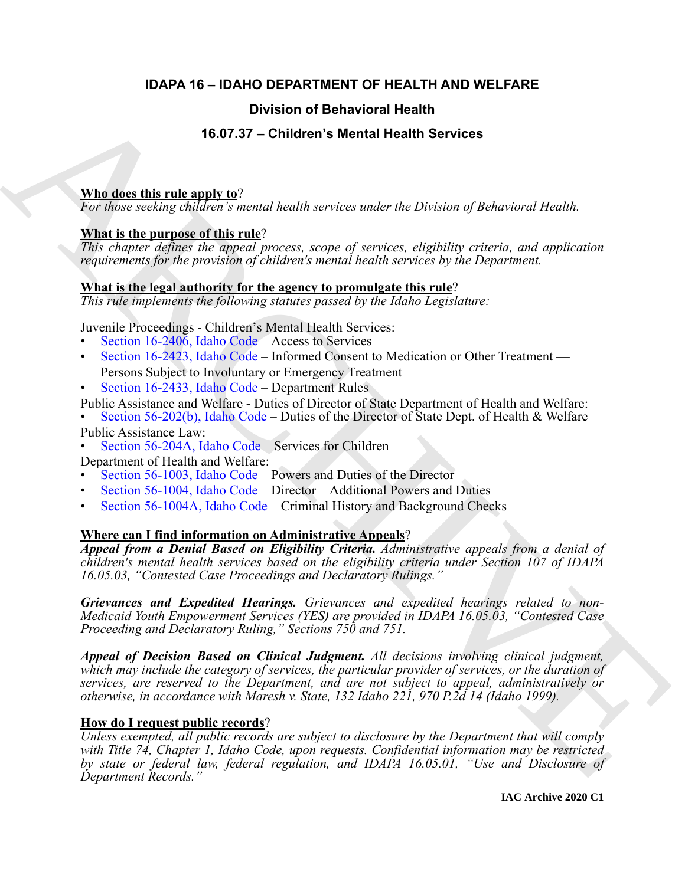### **IDAPA 16 – IDAHO DEPARTMENT OF HEALTH AND WELFARE**

### **Division of Behavioral Health**

#### **16.07.37 – Children's Mental Health Services**

#### **Who does this rule apply to**?

*For those seeking children's mental health services under the Division of Behavioral Health.*

#### **What is the purpose of this rule**?

*This chapter defines the appeal process, scope of services, eligibility criteria, and application requirements for the provision of children's mental health services by the Department.*

#### **What is the legal authority for the agency to promulgate this rule**?

*This rule implements the following statutes passed by the Idaho Legislature:*

Juvenile Proceedings - Children's Mental Health Services:

- Section 16-2406, Idaho Code Access to Services
- Section 16-2423, Idaho Code Informed Consent to Medication or Other Treatment Persons Subject to Involuntary or Emergency Treatment
- Section 16-2433, Idaho Code Department Rules
- Public Assistance and Welfare Duties of Director of State Department of Health and Welfare:
- Section 56-202(b), Idaho Code Duties of the Director of State Dept. of Health & Welfare Public Assistance Law:<br>• Section 56-204A, Idaho Code – Services for Children
- 

Department of Health and Welfare:

- Section 56-1003, Idaho Code Powers and Duties of the Director
- Section 56-1004, Idaho Code Director Additional Powers and Duties
- Section 56-1004A, Idaho Code Criminal History and Background Checks

#### **Where can I find information on Administrative Appeals**?

*Appeal from a Denial Based on Eligibility Criteria. Administrative appeals from a denial of children's mental health services based on the eligibility criteria under Section 107 of IDAPA 16.05.03, "Contested Case Proceedings and Declaratory Rulings."*

*Grievances and Expedited Hearings. Grievances and expedited hearings related to non-Medicaid Youth Empowerment Services (YES) are provided in IDAPA 16.05.03, "Contested Case Proceeding and Declaratory Ruling," Sections 750 and 751.*

**EDivision of Behavioral Health<br>
16.07.37 – [C](https://legislature.idaho.gov/statutesrules/idstat/Title56/T56CH2/SECT56-202/)hildren's Mental Health Services<br>
Who does this rule angly to?**<br>
Yohov exclusive and health Services value the Division of Behavioral Health<br>
Yohov exclusive interactions are a *Appeal of Decision Based on Clinical Judgment. All decisions involving clinical judgment, which may include the category of services, the particular provider of services, or the duration of services, are reserved to the Department, and are not subject to appeal, administratively or otherwise, in accordance with Maresh v. State, 132 Idaho 221, 970 P.2d 14 (Idaho 1999).*

#### **How do I request public records**?

*Unless exempted, all public records are subject to disclosure by the Department that will comply with Title 74, Chapter 1, Idaho Code, upon requests. Confidential information may be restricted by state or federal law, federal regulation, and IDAPA 16.05.01, "Use and Disclosure of Department Records."*

**IAC Archive 2020 C1**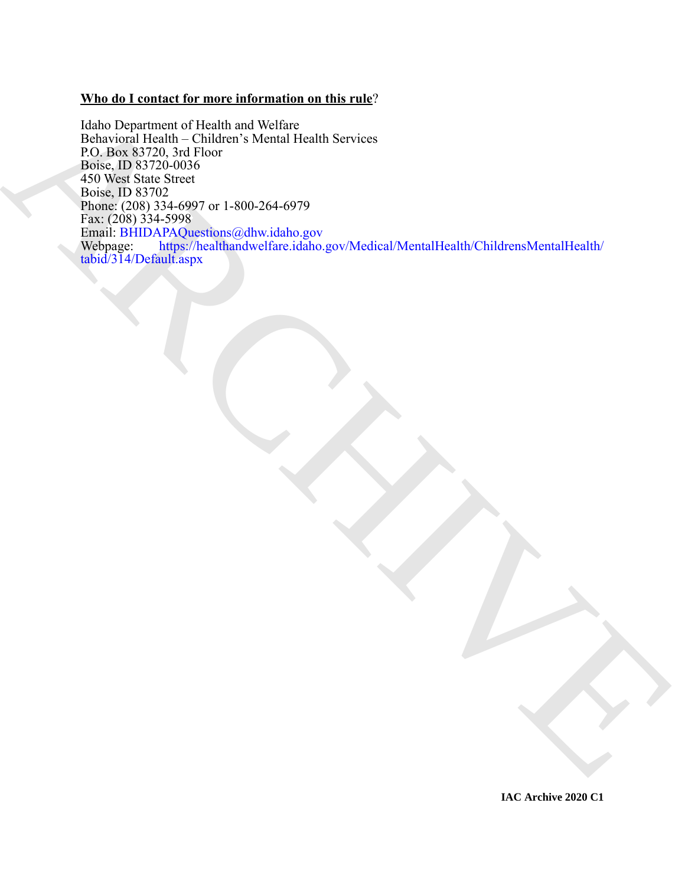#### **Who do I contact for more information on this rule**?

The Department of Health and Welfare<br>
Bolive [R](mailto:BHIDAPAQuestions@dhw.idaho.gov)esearch 1978 and Welfare<br>
Bolive Research 1978 and States Month Health Services<br>
The Messach States of the United States of the United States of the United States of the United Idaho Department of Health and Welfare Behavioral Health – Children's Mental Health Services P.O. Box 83720, 3rd Floor Boise, ID 83720-0036 450 West State Street Boise, ID 83702 Phone: (208) 334-6997 or 1-800-264-6979 Fax: (208) 334-5998 Email: BHIDAPAQuestions@dhw.idaho.gov<br>Webpage: https://healthandwelfare.idaho. https://healthandwelfare.idaho.gov/Medical/MentalHealth/ChildrensMentalHealth/ tabid/314/Default.aspx

**IAC Archive 2020 C1**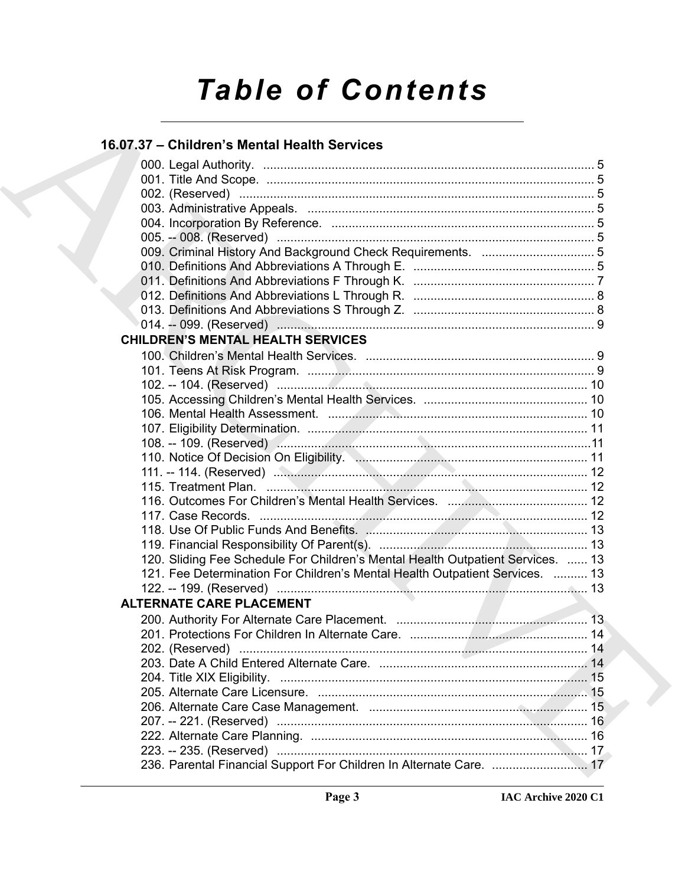# *Table of Contents*

### **16.07.37 – Children's Mental Health Services**

| 16.07.37 - Children's Mental Health Services                                                                  |
|---------------------------------------------------------------------------------------------------------------|
|                                                                                                               |
|                                                                                                               |
|                                                                                                               |
|                                                                                                               |
|                                                                                                               |
|                                                                                                               |
|                                                                                                               |
|                                                                                                               |
|                                                                                                               |
|                                                                                                               |
|                                                                                                               |
|                                                                                                               |
| <b>CHILDREN'S MENTAL HEALTH SERVICES</b>                                                                      |
|                                                                                                               |
|                                                                                                               |
|                                                                                                               |
|                                                                                                               |
|                                                                                                               |
|                                                                                                               |
|                                                                                                               |
|                                                                                                               |
|                                                                                                               |
|                                                                                                               |
|                                                                                                               |
|                                                                                                               |
|                                                                                                               |
|                                                                                                               |
| 120. Sliding Fee Schedule For Children's Mental Health Outpatient Services.  13                               |
| 121. Fee Determination For Children's Mental Health Outpatient Services.  13                                  |
|                                                                                                               |
| ALTERNATE CARE PLACEMENT ALTERNATE OF A STRUCK AND THE STRUCK OF A STRUCK OF A STRUCK OF A STRUCK OF A STRUCK |
|                                                                                                               |
|                                                                                                               |
|                                                                                                               |
|                                                                                                               |
|                                                                                                               |
|                                                                                                               |
|                                                                                                               |
|                                                                                                               |
|                                                                                                               |
|                                                                                                               |
| 236. Parental Financial Support For Children In Alternate Care.  17                                           |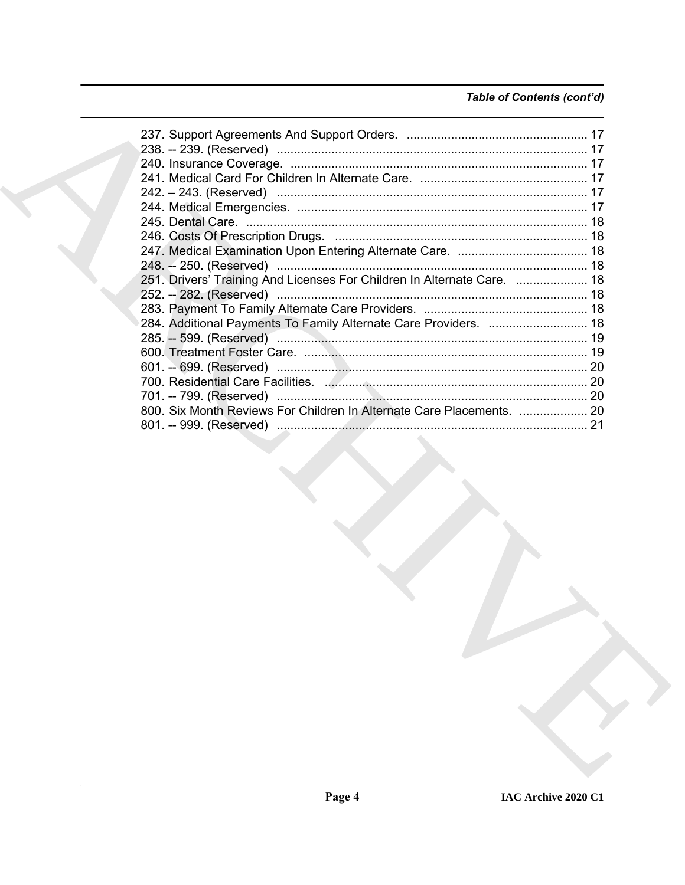#### Table of Contents (cont'd)

|  | 251. Drivers' Training And Licenses For Children In Alternate Care.  18                                         |  |
|--|-----------------------------------------------------------------------------------------------------------------|--|
|  |                                                                                                                 |  |
|  |                                                                                                                 |  |
|  | 284. Additional Payments To Family Alternate Care Providers.  18                                                |  |
|  |                                                                                                                 |  |
|  |                                                                                                                 |  |
|  |                                                                                                                 |  |
|  |                                                                                                                 |  |
|  |                                                                                                                 |  |
|  | 800. Six Month Reviews For Children In Alternate Care Placements.  20                                           |  |
|  |                                                                                                                 |  |
|  | the contract of the contract of the contract of the contract of the contract of the contract of the contract of |  |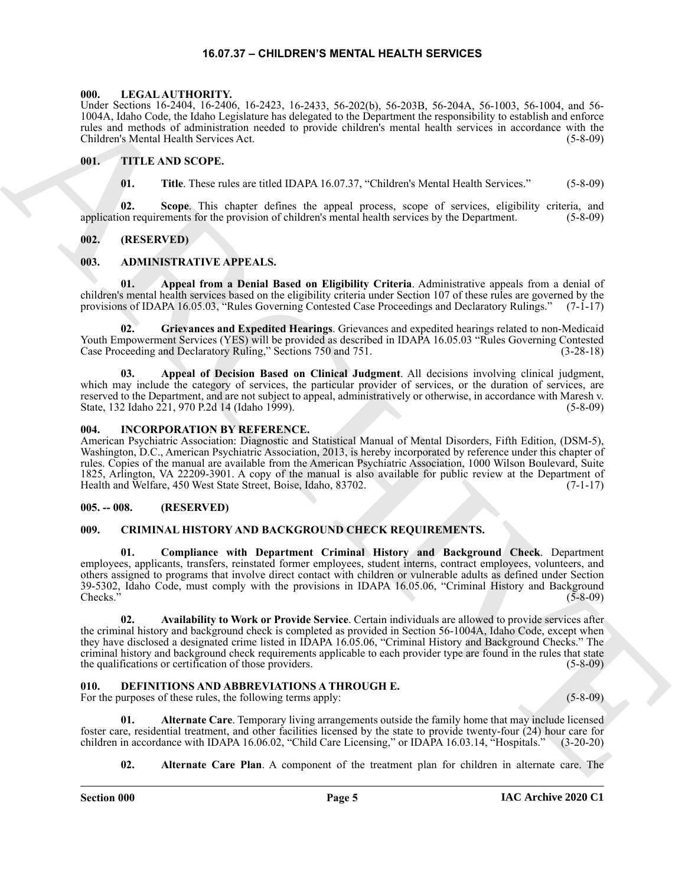#### **16.07.37 – CHILDREN'S MENTAL HEALTH SERVICES**

#### <span id="page-4-15"></span><span id="page-4-1"></span><span id="page-4-0"></span>**000. LEGAL AUTHORITY.**

Under Sections 16-2404, 16-2406, 16-2423, 16-2433, 56-202(b), 56-203B, 56-204A, 56-1003, 56-1004, and 56- 1004A, Idaho Code, the Idaho Legislature has delegated to the Department the responsibility to establish and enforce rules and methods of administration needed to provide children's mental health services in accordance with the Children's Mental Health Services Act. (5-8-09)

#### <span id="page-4-2"></span>**001. TITLE AND SCOPE.**

<span id="page-4-16"></span>**01. Title**. These rules are titled IDAPA 16.07.37, "Children's Mental Health Services." (5-8-09)

**02. Scope**. This chapter defines the appeal process, scope of services, eligibility criteria, and application requirements for the provision of children's mental health services by the Department. (5-8-09)

#### <span id="page-4-3"></span>**002. (RESERVED)**

#### <span id="page-4-9"></span><span id="page-4-4"></span>**003. ADMINISTRATIVE APPEALS.**

**01. Appeal from a Denial Based on Eligibility Criteria**. Administrative appeals from a denial of children's mental health services based on the eligibility criteria under Section 107 of these rules are governed by the provisions of IDAPA 16.05.03, "Rules Governing Contested Case Proceedings and Declaratory Rulings." (7-1-17)

**02. Grievances and Expedited Hearings**. Grievances and expedited hearings related to non-Medicaid Youth Empowerment Services (YES) will be provided as described in IDAPA 16.05.03 "Rules Governing Contested Case Proceeding and Declaratory Ruling," Sections 750 and 751. (3-28-18)

**03. Appeal of Decision Based on Clinical Judgment**. All decisions involving clinical judgment, which may include the category of services, the particular provider of services, or the duration of services, are reserved to the Department, and are not subject to appeal, administratively or otherwise, in accordance with Maresh v. State, 132 Idaho 221, 970 P.2d 14 (Idaho 1999). (5-8-09)

#### <span id="page-4-14"></span><span id="page-4-5"></span>**004. INCORPORATION BY REFERENCE.**

American Psychiatric Association: Diagnostic and Statistical Manual of Mental Disorders, Fifth Edition, (DSM-5), Washington, D.C., American Psychiatric Association, 2013, is hereby incorporated by reference under this chapter of rules. Copies of the manual are available from the American Psychiatric Association, 1000 Wilson Boulevard, Suite 1825, Arlington, VA 22209-3901. A copy of the manual is also available for public review at the Department of Health and Welfare, 450 West State Street, Boise, Idaho, 83702. (7-1-17)

#### <span id="page-4-6"></span>**005. -- 008. (RESERVED)**

#### <span id="page-4-10"></span><span id="page-4-7"></span>**009. CRIMINAL HISTORY AND BACKGROUND CHECK REQUIREMENTS.**

**01. Compliance with Department Criminal History and Background Check**. Department employees, applicants, transfers, reinstated former employees, student interns, contract employees, volunteers, and others assigned to programs that involve direct contact with children or vulnerable adults as defined under Section 39-5302, Idaho Code, must comply with the provisions in IDAPA 16.05.06, "Criminal History and Background Checks." (5-8-09)  $\text{Checks."}$  (5-8-09)

Lable School (16:540), 16:540, 16:34), 16:342), 16:342), 16:3421, 16:3434, 16:342, 16:342, 16:342, 16:342, 16:342, 16:342, 16:342, 16:342, 16:342, 16:342, 16:342, 16:342, 16:342, 16:342, 16:342, 16:342, 16:342, 16:342, 16 **02. Availability to Work or Provide Service**. Certain individuals are allowed to provide services after the criminal history and background check is completed as provided in Section 56-1004A, Idaho Code, except when they have disclosed a designated crime listed in IDAPA 16.05.06, "Criminal History and Background Checks." The criminal history and background check requirements applicable to each provider type are found in the rules that state<br>the qualifications or certification of those providers. (5-8-09) the qualifications or certification of those providers.

#### <span id="page-4-11"></span><span id="page-4-8"></span>**010. DEFINITIONS AND ABBREVIATIONS A THROUGH E.**

For the purposes of these rules, the following terms apply: (5-8-09) (5-8-09)

**01. Alternate Care**. Temporary living arrangements outside the family home that may include licensed foster care, residential treatment, and other facilities licensed by the state to provide twenty-four (24) hour care for children in accordance with IDAPA 16.06.02, "Child Care Licensing," or IDAPA 16.03.14, "Hospitals." (3-20-20)

<span id="page-4-13"></span><span id="page-4-12"></span>**02. Alternate Care Plan**. A component of the treatment plan for children in alternate care. The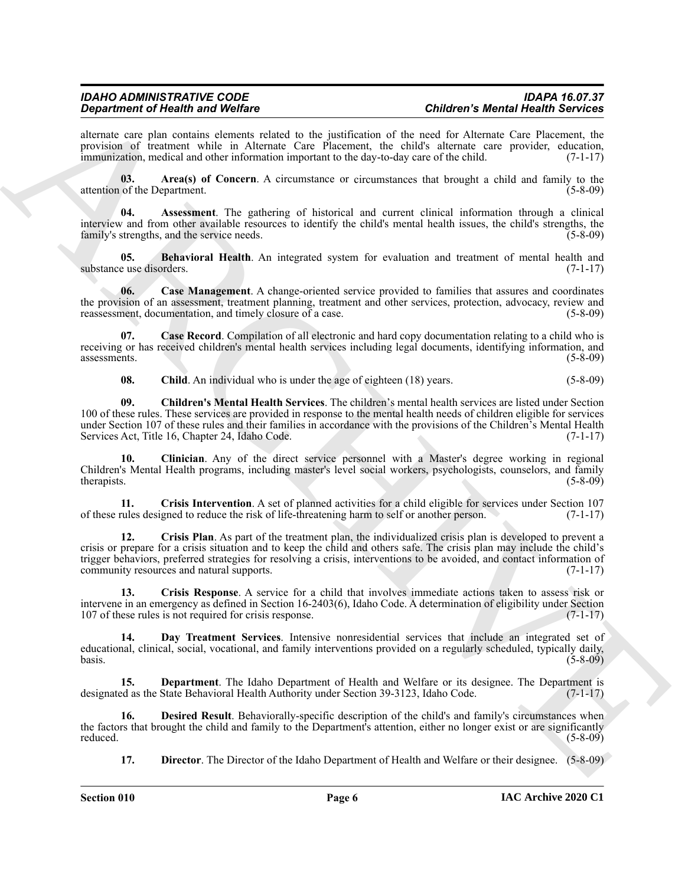alternate care plan contains elements related to the justification of the need for Alternate Care Placement, the provision of treatment while in Alternate Care Placement, the child's alternate care provider, education, immunization, medical and other information important to the day-to-day care of the child. (7-1-17)

<span id="page-5-0"></span>**03. Area(s) of Concern**. A circumstance or circumstances that brought a child and family to the attention of the Department. (5-8-09)

<span id="page-5-1"></span>**04. Assessment**. The gathering of historical and current clinical information through a clinical interview and from other available resources to identify the child's mental health issues, the child's strengths, the family's strengths, and the service needs. (5-8-09)

<span id="page-5-2"></span>**05. Behavioral Health**. An integrated system for evaluation and treatment of mental health and e use disorders. (7-1-17) substance use disorders.

<span id="page-5-3"></span>**06. Case Management**. A change-oriented service provided to families that assures and coordinates the provision of an assessment, treatment planning, treatment and other services, protection, advocacy, review and reassessment, documentation, and timely closure of a case. reassessment, documentation, and timely closure of a case.

**Case Record.** Compilation of all electronic and hard copy documentation relating to a child who is receiving or has received children's mental health services including legal documents, identifying information, and assessments. (5-8-09) assessments. (5-8-09)

<span id="page-5-7"></span><span id="page-5-6"></span><span id="page-5-5"></span><span id="page-5-4"></span>**08.** Child. An individual who is under the age of eighteen (18) years. (5-8-09)

**09. Children's Mental Health Services**. The children's mental health services are listed under Section 100 of these rules. These services are provided in response to the mental health needs of children eligible for services under Section 107 of these rules and their families in accordance with the provisions of the Children's Mental Health<br>Services Act, Title 16, Chapter 24, Idaho Code. (7-1-17) Services Act, Title 16, Chapter 24, Idaho Code.

**10. Clinician**. Any of the direct service personnel with a Master's degree working in regional Children's Mental Health programs, including master's level social workers, psychologists, counselors, and family therapists. (5-8-09)

<span id="page-5-9"></span><span id="page-5-8"></span>**11.** Crisis Intervention. A set of planned activities for a child eligible for services under Section 107 rules designed to reduce the risk of life-threatening harm to self or another person. (7-1-17) of these rules designed to reduce the risk of life-threatening harm to self or another person. (7-1-17)

Graduation of Health and Wolfens Construction and the presion interval of the constraints only the summation of the summation of the summation of the summation of the summation of the summation of the summation of the sum **12. Crisis Plan**. As part of the treatment plan, the individualized crisis plan is developed to prevent a crisis or prepare for a crisis situation and to keep the child and others safe. The crisis plan may include the child's trigger behaviors, preferred strategies for resolving a crisis, interventions to be avoided, and contact information of community resources and natural supports. (7-1-17) community resources and natural supports.

<span id="page-5-10"></span>**13. Crisis Response**. A service for a child that involves immediate actions taken to assess risk or intervene in an emergency as defined in Section 16-2403(6), Idaho Code. A determination of eligibility under Section 107 of these rules is not required for crisis response. (7-1-17)

<span id="page-5-11"></span>**14. Day Treatment Services**. Intensive nonresidential services that include an integrated set of educational, clinical, social, vocational, and family interventions provided on a regularly scheduled, typically daily,  $basis.$  (5-8-09)

<span id="page-5-12"></span>**15. Department**. The Idaho Department of Health and Welfare or its designee. The Department is designated as the State Behavioral Health Authority under Section 39-3123, Idaho Code. (7-1-17)

**16. Desired Result**. Behaviorally-specific description of the child's and family's circumstances when the factors that brought the child and family to the Department's attention, either no longer exist or are significantly reduced. (5-8-09) reduced. (5-8-09)

<span id="page-5-14"></span><span id="page-5-13"></span>**17. Director**. The Director of the Idaho Department of Health and Welfare or their designee. (5-8-09)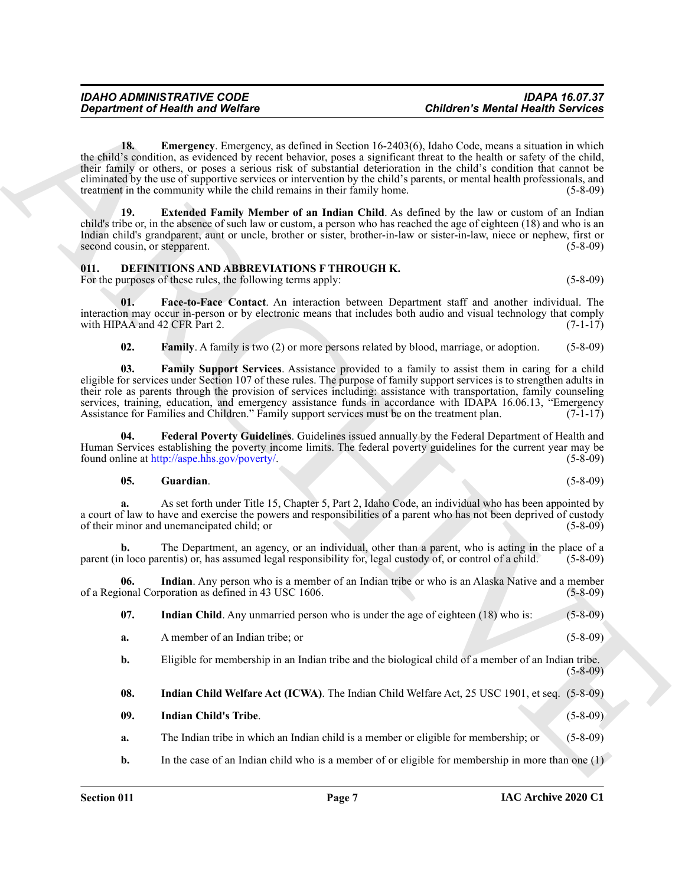Great three Like [C](http://aspe.hhs.gov/poverty/)ontrol is a state of the state of the state of the state of the state of the state of the state of the state of the state of the state of the state of the state of the state of the state of the state of **18. Emergency**. Emergency, as defined in Section 16-2403(6), Idaho Code, means a situation in which the child's condition, as evidenced by recent behavior, poses a significant threat to the health or safety of the child, their family or others, or poses a serious risk of substantial deterioration in the child's condition that cannot be eliminated by the use of supportive services or intervention by the child's parents, or mental health professionals, and treatment in the community while the child remains in their family home. (5-8-09)

<span id="page-6-2"></span><span id="page-6-1"></span>**Extended Family Member of an Indian Child**. As defined by the law or custom of an Indian child's tribe or, in the absence of such law or custom, a person who has reached the age of eighteen (18) and who is an Indian child's grandparent, aunt or uncle, brother or sister, brother-in-law or sister-in-law, niece or nephew, first or second cousin, or stepparent. (5-8-09) (5-8-09)

#### <span id="page-6-3"></span><span id="page-6-0"></span>**011. DEFINITIONS AND ABBREVIATIONS F THROUGH K.**

For the purposes of these rules, the following terms apply: (5-8-09) (5-8-09)

**01. Face-to-Face Contact**. An interaction between Department staff and another individual. The interaction may occur in-person or by electronic means that includes both audio and visual technology that comply with HIPAA and 42 CFR Part 2.  $(7-1-17)$ 

<span id="page-6-6"></span><span id="page-6-5"></span><span id="page-6-4"></span>**02. Family**. A family is two (2) or more persons related by blood, marriage, or adoption. (5-8-09)

**03. Family Support Services**. Assistance provided to a family to assist them in caring for a child eligible for services under Section 107 of these rules. The purpose of family support services is to strengthen adults in their role as parents through the provision of services including: assistance with transportation, family counseling services, training, education, and emergency assistance funds in accordance with IDAPA 16.06.13, "Emergency Assistance for Families and Children." Family support services must be on the treatment plan.  $(7-1-17)$ 

**04. Federal Poverty Guidelines**. Guidelines issued annually by the Federal Department of Health and Human Services establishing the poverty income limits. The federal poverty guidelines for the current year may be found online at http://aspe.hhs.gov/poverty/. (5-8-09)

#### <span id="page-6-8"></span><span id="page-6-7"></span>**05. Guardian**. (5-8-09)

**a.** As set forth under Title 15, Chapter 5, Part 2, Idaho Code, an individual who has been appointed by a court of law to have and exercise the powers and responsibilities of a parent who has not been deprived of custody of their minor and unemancipated child; or (5-8-09)

**b.** The Department, an agency, or an individual, other than a parent, who is acting in the place of a parent (in loco parentis) or, has assumed legal responsibility for, legal custody of, or control of a child. (5-8-09)

**06. Indian**. Any person who is a member of an Indian tribe or who is an Alaska Native and a member of a Regional Corporation as defined in 43 USC 1606. (5-8-09)

<span id="page-6-10"></span><span id="page-6-9"></span>**07.** Indian Child. Any unmarried person who is under the age of eighteen (18) who is: (5-8-09)

**a.** A member of an Indian tribe; or (5-8-09)

**b.** Eligible for membership in an Indian tribe and the biological child of a member of an Indian tribe. (5-8-09)

<span id="page-6-12"></span><span id="page-6-11"></span>**08. Indian Child Welfare Act (ICWA)**. The Indian Child Welfare Act, 25 USC 1901, et seq. (5-8-09)

- **09. Indian Child's Tribe**. (5-8-09)
- **a.** The Indian tribe in which an Indian child is a member or eligible for membership; or (5-8-09)

**b.** In the case of an Indian child who is a member of or eligible for membership in more than one (1)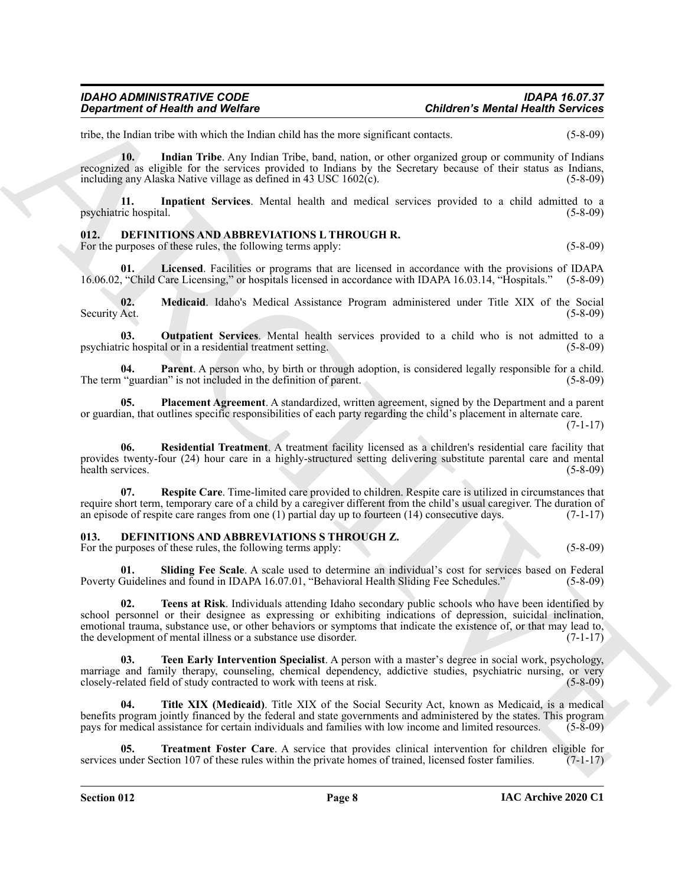# tribe, the Indian tribe with which the Indian child has the more significant contacts. (5-8-09)

*Department of Health and Welfare* 

<span id="page-7-2"></span>**10. Indian Tribe**. Any Indian Tribe, band, nation, or other organized group or community of Indians recognized as eligible for the services provided to Indians by the Secretary because of their status as Indians, including any Alaska Native village as defined in  $43 \text{ USC } 1602(c)$ .  $(5-8-09)$ 

<span id="page-7-3"></span>**11. Inpatient Services**. Mental health and medical services provided to a child admitted to a psychiatric hospital. (5-8-09)

#### <span id="page-7-4"></span><span id="page-7-0"></span>**012. DEFINITIONS AND ABBREVIATIONS L THROUGH R.**

For the purposes of these rules, the following terms apply: (5-8-09) (5-8-09)

<span id="page-7-5"></span>**01. Licensed**. Facilities or programs that are licensed in accordance with the provisions of IDAPA 16.06.02, "Child Care Licensing," or hospitals licensed in accordance with IDAPA 16.03.14, "Hospitals." (5-8-09)

<span id="page-7-6"></span>**02. Medicaid**. Idaho's Medical Assistance Program administered under Title XIX of the Social Security Act.

<span id="page-7-7"></span>**03. Outpatient Services**. Mental health services provided to a child who is not admitted to a psychiatric hospital or in a residential treatment setting. (5-8-09)

<span id="page-7-8"></span>**04. Parent**. A person who, by birth or through adoption, is considered legally responsible for a child. The term "guardian" is not included in the definition of parent. (5-8-09)

<span id="page-7-9"></span>**05. Placement Agreement**. A standardized, written agreement, signed by the Department and a parent or guardian, that outlines specific responsibilities of each party regarding the child's placement in alternate care.

(7-1-17)

<span id="page-7-10"></span>**06. Residential Treatment**. A treatment facility licensed as a children's residential care facility that provides twenty-four (24) hour care in a highly-structured setting delivering substitute parental care and mental health services.

<span id="page-7-11"></span>**07. Respite Care**. Time-limited care provided to children. Respite care is utilized in circumstances that require short term, temporary care of a child by a caregiver different from the child's usual caregiver. The duration of an episode of respite care ranges from one (1) partial day up to fourteen (14) consecutive days. (7-1 an episode of respite care ranges from one  $(1)$  partial day up to fourteen  $(14)$  consecutive days.

#### <span id="page-7-12"></span><span id="page-7-1"></span>**013. DEFINITIONS AND ABBREVIATIONS S THROUGH Z.**

For the purposes of these rules, the following terms apply: (5-8-09) (5-8-09)

<span id="page-7-15"></span><span id="page-7-13"></span>**01. Sliding Fee Scale**. A scale used to determine an individual's cost for services based on Federal Poverty Guidelines and found in IDAPA 16.07.01, "Behavioral Health Sliding Fee Schedules." (5-8-09)

**Considered of Newton Section** 16.<br>
Surface of the simulation constraints are now segmention considered and the simulation of the simulation of the simulation of the simulation of the simulation of the simulation of the s **02. Teens at Risk**. Individuals attending Idaho secondary public schools who have been identified by school personnel or their designee as expressing or exhibiting indications of depression, suicidal inclination, emotional trauma, substance use, or other behaviors or symptoms that indicate the existence of, or that may lead to, the development of mental illness or a substance use disorder. (7-1-17) the development of mental illness or a substance use disorder.

<span id="page-7-14"></span>**03. Teen Early Intervention Specialist**. A person with a master's degree in social work, psychology, marriage and family therapy, counseling, chemical dependency, addictive studies, psychiatric nursing, or very<br>closely-related field of study contracted to work with teens at risk. (5-8-09) closely-related field of study contracted to work with teens at risk.

<span id="page-7-16"></span>**04. Title XIX (Medicaid)**. Title XIX of the Social Security Act, known as Medicaid, is a medical benefits program jointly financed by the federal and state governments and administered by the states. This program pays for medical assistance for certain individuals and families with low income and limited resources. (5-8-09)

<span id="page-7-17"></span>**05. Treatment Foster Care**. A service that provides clinical intervention for children eligible for services under Section 107 of these rules within the private homes of trained, licensed foster families. (7-1-17)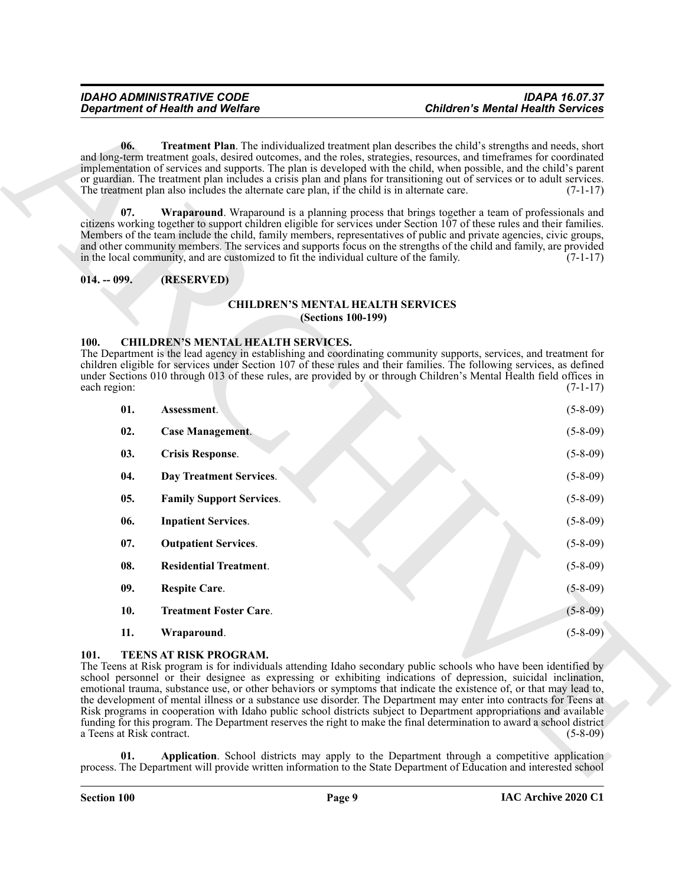#### <span id="page-8-17"></span><span id="page-8-1"></span><span id="page-8-0"></span>**014. -- 099. (RESERVED)**

#### <span id="page-8-4"></span>**CHILDREN'S MENTAL HEALTH SERVICES (Sections 100-199)**

#### <span id="page-8-9"></span><span id="page-8-8"></span><span id="page-8-7"></span><span id="page-8-6"></span><span id="page-8-5"></span><span id="page-8-2"></span>**100. CHILDREN'S MENTAL HEALTH SERVICES.**

<span id="page-8-16"></span>

|                                   | <b>Department of Health and Welfare</b>                                                                                                                                                 | <b>Children's Mental Health Services</b>                                                                                                                                                                                                                                                                                                                                                                                                                                                                                                                                                                                                                                                                                                                                                                                                                                                                                                                                                         |
|-----------------------------------|-----------------------------------------------------------------------------------------------------------------------------------------------------------------------------------------|--------------------------------------------------------------------------------------------------------------------------------------------------------------------------------------------------------------------------------------------------------------------------------------------------------------------------------------------------------------------------------------------------------------------------------------------------------------------------------------------------------------------------------------------------------------------------------------------------------------------------------------------------------------------------------------------------------------------------------------------------------------------------------------------------------------------------------------------------------------------------------------------------------------------------------------------------------------------------------------------------|
| 06.<br>07.                        | The treatment plan also includes the alternate care plan, if the child is in alternate care.<br>in the local community, and are customized to fit the individual culture of the family. | <b>Treatment Plan.</b> The individualized treatment plan describes the child's strengths and needs, short<br>and long-term treatment goals, desired outcomes, and the roles, strategies, resources, and timeframes for coordinated<br>implementation of services and supports. The plan is developed with the child, when possible, and the child's parent<br>or guardian. The treatment plan includes a crisis plan and plans for transitioning out of services or to adult services.<br>$(7-1-17)$<br>Wraparound. Wraparound is a planning process that brings together a team of professionals and<br>citizens working together to support children eligible for services under Section $107$ of these rules and their families.<br>Members of the team include the child, family members, representatives of public and private agencies, civic groups,<br>and other community members. The services and supports focus on the strengths of the child and family, are provided<br>$(7-1-17)$ |
| $014. - 099.$                     | (RESERVED)                                                                                                                                                                              |                                                                                                                                                                                                                                                                                                                                                                                                                                                                                                                                                                                                                                                                                                                                                                                                                                                                                                                                                                                                  |
|                                   |                                                                                                                                                                                         |                                                                                                                                                                                                                                                                                                                                                                                                                                                                                                                                                                                                                                                                                                                                                                                                                                                                                                                                                                                                  |
|                                   | <b>CHILDREN'S MENTAL HEALTH SERVICES</b><br><b>(Sections 100-199)</b>                                                                                                                   |                                                                                                                                                                                                                                                                                                                                                                                                                                                                                                                                                                                                                                                                                                                                                                                                                                                                                                                                                                                                  |
| 100.<br>each region:              | <b>CHILDREN'S MENTAL HEALTH SERVICES.</b>                                                                                                                                               | The Department is the lead agency in establishing and coordinating community supports, services, and treatment for<br>children eligible for services under Section 107 of these rules and their families. The following services, as defined<br>under Sections 010 through 013 of these rules, are provided by or through Children's Mental Health field offices in<br>$(7-1-17)$                                                                                                                                                                                                                                                                                                                                                                                                                                                                                                                                                                                                                |
| 01.                               | Assessment.                                                                                                                                                                             | $(5-8-09)$                                                                                                                                                                                                                                                                                                                                                                                                                                                                                                                                                                                                                                                                                                                                                                                                                                                                                                                                                                                       |
| 02.                               | <b>Case Management.</b>                                                                                                                                                                 | $(5-8-09)$                                                                                                                                                                                                                                                                                                                                                                                                                                                                                                                                                                                                                                                                                                                                                                                                                                                                                                                                                                                       |
| 03.                               | <b>Crisis Response.</b>                                                                                                                                                                 | $(5-8-09)$                                                                                                                                                                                                                                                                                                                                                                                                                                                                                                                                                                                                                                                                                                                                                                                                                                                                                                                                                                                       |
| 04.                               | Day Treatment Services.                                                                                                                                                                 | $(5-8-09)$                                                                                                                                                                                                                                                                                                                                                                                                                                                                                                                                                                                                                                                                                                                                                                                                                                                                                                                                                                                       |
| 05.                               | <b>Family Support Services.</b>                                                                                                                                                         | $(5-8-09)$                                                                                                                                                                                                                                                                                                                                                                                                                                                                                                                                                                                                                                                                                                                                                                                                                                                                                                                                                                                       |
| 06.                               | <b>Inpatient Services.</b>                                                                                                                                                              | $(5-8-09)$                                                                                                                                                                                                                                                                                                                                                                                                                                                                                                                                                                                                                                                                                                                                                                                                                                                                                                                                                                                       |
| 07.                               | <b>Outpatient Services.</b>                                                                                                                                                             | $(5-8-09)$                                                                                                                                                                                                                                                                                                                                                                                                                                                                                                                                                                                                                                                                                                                                                                                                                                                                                                                                                                                       |
| 08.                               | <b>Residential Treatment.</b>                                                                                                                                                           | $(5-8-09)$                                                                                                                                                                                                                                                                                                                                                                                                                                                                                                                                                                                                                                                                                                                                                                                                                                                                                                                                                                                       |
| 09.                               | <b>Respite Care.</b>                                                                                                                                                                    | $(5-8-09)$                                                                                                                                                                                                                                                                                                                                                                                                                                                                                                                                                                                                                                                                                                                                                                                                                                                                                                                                                                                       |
| 10.                               | <b>Treatment Foster Care.</b>                                                                                                                                                           | $(5 - 8 - 09)$                                                                                                                                                                                                                                                                                                                                                                                                                                                                                                                                                                                                                                                                                                                                                                                                                                                                                                                                                                                   |
| 11.                               | Wraparound.                                                                                                                                                                             | $(5-8-09)$                                                                                                                                                                                                                                                                                                                                                                                                                                                                                                                                                                                                                                                                                                                                                                                                                                                                                                                                                                                       |
| 101.<br>a Teens at Risk contract. | <b>TEENS AT RISK PROGRAM.</b>                                                                                                                                                           | The Teens at Risk program is for individuals attending Idaho secondary public schools who have been identified by<br>school personnel or their designee as expressing or exhibiting indications of depression, suicidal inclination,<br>emotional trauma, substance use, or other behaviors or symptoms that indicate the existence of, or that may lead to,<br>the development of mental illness or a substance use disorder. The Department may enter into contracts for Teens at<br>Risk programs in cooperation with Idaho public school districts subject to Department appropriations and available<br>funding for this program. The Department reserves the right to make the final determination to award a school district<br>$(5-8-09)$                                                                                                                                                                                                                                                |
| 01.                               |                                                                                                                                                                                         | Application. School districts may apply to the Department through a competitive application<br>process. The Department will provide written information to the State Department of Education and interested school                                                                                                                                                                                                                                                                                                                                                                                                                                                                                                                                                                                                                                                                                                                                                                               |

#### <span id="page-8-19"></span><span id="page-8-18"></span><span id="page-8-15"></span><span id="page-8-14"></span><span id="page-8-13"></span><span id="page-8-12"></span><span id="page-8-11"></span><span id="page-8-10"></span><span id="page-8-3"></span>**101. TEENS AT RISK PROGRAM.**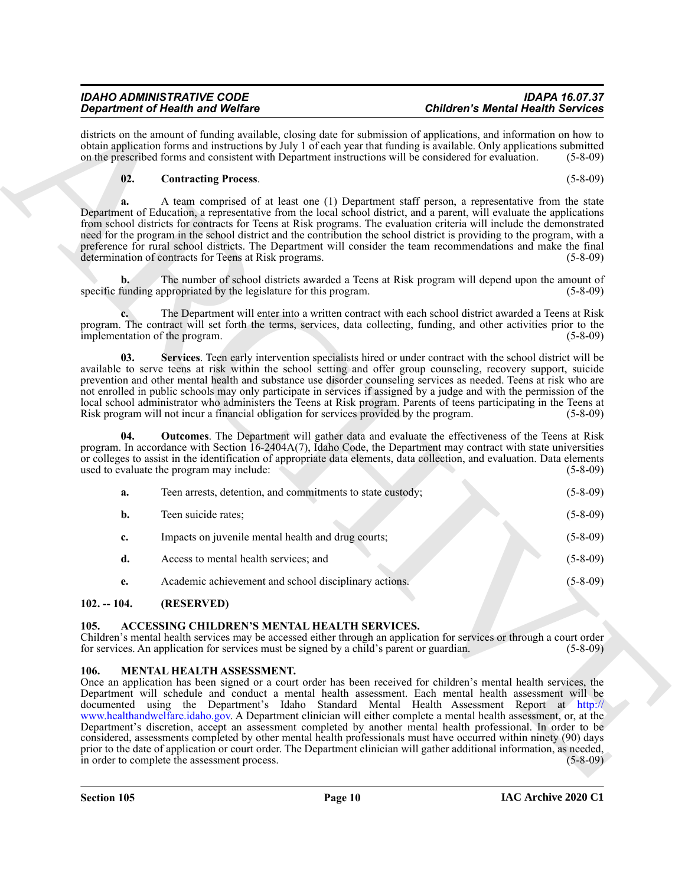#### <span id="page-9-7"></span><span id="page-9-5"></span>**02. Contracting Process**. (5-8-09)

|                | <b>Department of Health and Welfare</b>                                                                                                   | <b>Children's Mental Health Services</b>                                                                                                                                                                                                                                                                                                                                                                                                                                                                                                                                                                                                                                                                                                                                                                                         |
|----------------|-------------------------------------------------------------------------------------------------------------------------------------------|----------------------------------------------------------------------------------------------------------------------------------------------------------------------------------------------------------------------------------------------------------------------------------------------------------------------------------------------------------------------------------------------------------------------------------------------------------------------------------------------------------------------------------------------------------------------------------------------------------------------------------------------------------------------------------------------------------------------------------------------------------------------------------------------------------------------------------|
|                | on the prescribed forms and consistent with Department instructions will be considered for evaluation.                                    | districts on the amount of funding available, closing date for submission of applications, and information on how to<br>obtain application forms and instructions by July 1 of each year that funding is available. Only applications submitted<br>$(5-8-09)$                                                                                                                                                                                                                                                                                                                                                                                                                                                                                                                                                                    |
| 02.            | <b>Contracting Process.</b>                                                                                                               | $(5-8-09)$                                                                                                                                                                                                                                                                                                                                                                                                                                                                                                                                                                                                                                                                                                                                                                                                                       |
| a.             | determination of contracts for Teens at Risk programs.                                                                                    | A team comprised of at least one (1) Department staff person, a representative from the state<br>Department of Education, a representative from the local school district, and a parent, will evaluate the applications<br>from school districts for contracts for Teens at Risk programs. The evaluation criteria will include the demonstrated<br>need for the program in the school district and the contribution the school district is providing to the program, with a<br>preference for rural school districts. The Department will consider the team recommendations and make the final<br>$(5-8-09)$                                                                                                                                                                                                                    |
| $\mathbf{b}$ . | specific funding appropriated by the legislature for this program.                                                                        | The number of school districts awarded a Teens at Risk program will depend upon the amount of<br>$(5-8-09)$                                                                                                                                                                                                                                                                                                                                                                                                                                                                                                                                                                                                                                                                                                                      |
|                | implementation of the program.                                                                                                            | The Department will enter into a written contract with each school district awarded a Teens at Risk<br>program. The contract will set forth the terms, services, data collecting, funding, and other activities prior to the<br>$(5-8-09)$                                                                                                                                                                                                                                                                                                                                                                                                                                                                                                                                                                                       |
| 03.            | Risk program will not incur a financial obligation for services provided by the program.                                                  | Services. Teen early intervention specialists hired or under contract with the school district will be<br>available to serve teens at risk within the school setting and offer group counseling, recovery support, suicide<br>prevention and other mental health and substance use disorder counseling services as needed. Teens at risk who are<br>not enrolled in public schools may only participate in services if assigned by a judge and with the permission of the<br>local school administrator who administers the Teens at Risk program. Parents of teens participating in the Teens at<br>$(5-8-09)$                                                                                                                                                                                                                  |
| 04.            | used to evaluate the program may include:                                                                                                 | <b>Outcomes.</b> The Department will gather data and evaluate the effectiveness of the Teens at Risk<br>program. In accordance with Section 16-2404A(7), Idaho Code, the Department may contract with state universities<br>or colleges to assist in the identification of appropriate data elements, data collection, and evaluation. Data elements<br>$(5-8-09)$                                                                                                                                                                                                                                                                                                                                                                                                                                                               |
| a.             | Teen arrests, detention, and commitments to state custody;                                                                                | $(5-8-09)$                                                                                                                                                                                                                                                                                                                                                                                                                                                                                                                                                                                                                                                                                                                                                                                                                       |
| b.             | Teen suicide rates;                                                                                                                       | $(5-8-09)$                                                                                                                                                                                                                                                                                                                                                                                                                                                                                                                                                                                                                                                                                                                                                                                                                       |
| c.             | Impacts on juvenile mental health and drug courts;                                                                                        | $(5-8-09)$                                                                                                                                                                                                                                                                                                                                                                                                                                                                                                                                                                                                                                                                                                                                                                                                                       |
| d.             | Access to mental health services; and                                                                                                     | $(5-8-09)$                                                                                                                                                                                                                                                                                                                                                                                                                                                                                                                                                                                                                                                                                                                                                                                                                       |
| e.             | Academic achievement and school disciplinary actions.                                                                                     | $(5 - 8 - 09)$                                                                                                                                                                                                                                                                                                                                                                                                                                                                                                                                                                                                                                                                                                                                                                                                                   |
| $102. - 104.$  | (RESERVED)                                                                                                                                |                                                                                                                                                                                                                                                                                                                                                                                                                                                                                                                                                                                                                                                                                                                                                                                                                                  |
| 105.           | ACCESSING CHILDREN'S MENTAL HEALTH SERVICES.<br>for services. An application for services must be signed by a child's parent or guardian. | Children's mental health services may be accessed either through an application for services or through a court order<br>$(5-8-09)$                                                                                                                                                                                                                                                                                                                                                                                                                                                                                                                                                                                                                                                                                              |
| 106.           | MENTAL HEALTH ASSESSMENT.<br>in order to complete the assessment process.                                                                 | Once an application has been signed or a court order has been received for children's mental health services, the<br>Department will schedule and conduct a mental health assessment. Each mental health assessment will be<br>documented using the Department's Idaho Standard Mental Health Assessment Report at http://<br>www.healthandwelfare.idaho.gov. A Department clinician will either complete a mental health assessment, or, at the<br>Department's discretion, accept an assessment completed by another mental health professional. In order to be<br>considered, assessments completed by other mental health professionals must have occurred within ninety (90) days<br>prior to the date of application or court order. The Department clinician will gather additional information, as needed,<br>$(5-8-09)$ |

#### <span id="page-9-6"></span><span id="page-9-0"></span>**102. -- 104. (RESERVED)**

#### <span id="page-9-3"></span><span id="page-9-1"></span>**105. ACCESSING CHILDREN'S MENTAL HEALTH SERVICES.**

#### <span id="page-9-4"></span><span id="page-9-2"></span>**106. MENTAL HEALTH ASSESSMENT.**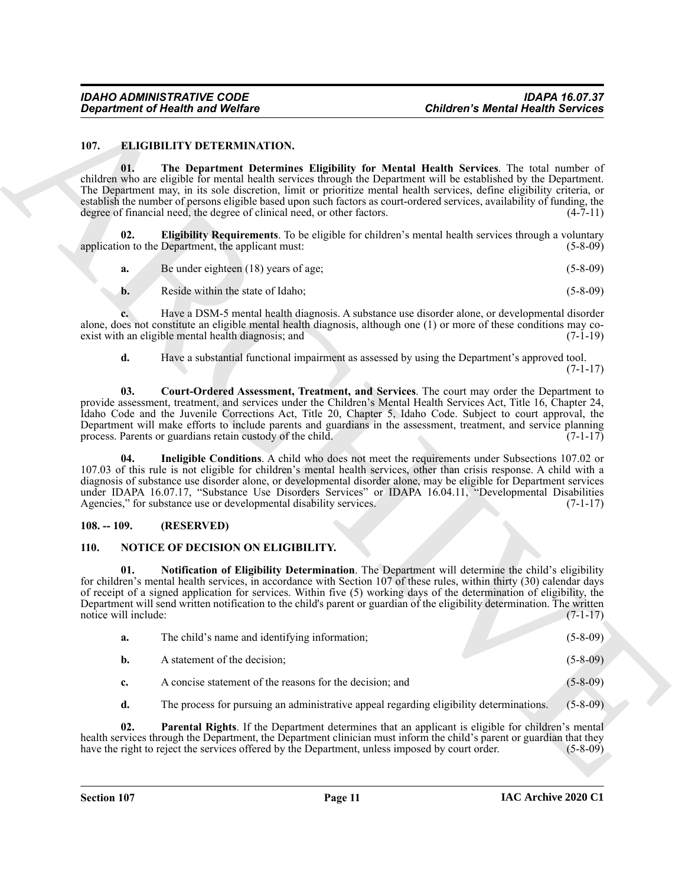#### <span id="page-10-7"></span><span id="page-10-3"></span><span id="page-10-0"></span>**107. ELIGIBILITY DETERMINATION.**

<span id="page-10-5"></span><span id="page-10-4"></span>

| a. | Be under eighteen (18) years of age; |  | $(5 - 8 - 09)$ |
|----|--------------------------------------|--|----------------|
|----|--------------------------------------|--|----------------|

#### <span id="page-10-6"></span><span id="page-10-1"></span>**108. -- 109. (RESERVED)**

#### <span id="page-10-10"></span><span id="page-10-9"></span><span id="page-10-8"></span><span id="page-10-2"></span>**110. NOTICE OF DECISION ON ELIGIBILITY.**

|                             | <b>Department of Health and Welfare</b>                                                                                                                                                                                                                                                                                                                                                                                                               |                                                                                                           | <b>Children's Mental Health Services</b> |
|-----------------------------|-------------------------------------------------------------------------------------------------------------------------------------------------------------------------------------------------------------------------------------------------------------------------------------------------------------------------------------------------------------------------------------------------------------------------------------------------------|-----------------------------------------------------------------------------------------------------------|------------------------------------------|
| 107.                        | <b>ELIGIBILITY DETERMINATION.</b>                                                                                                                                                                                                                                                                                                                                                                                                                     |                                                                                                           |                                          |
| 01.                         | children who are eligible for mental health services through the Department will be established by the Department.<br>The Department may, in its sole discretion, limit or prioritize mental health services, define eligibility criteria, or<br>establish the number of persons eligible based upon such factors as court-ordered services, availability of funding, the<br>degree of financial need, the degree of clinical need, or other factors. | The Department Determines Eligibility for Mental Health Services. The total number of                     | $(4-7-11)$                               |
| 02.                         | application to the Department, the applicant must:                                                                                                                                                                                                                                                                                                                                                                                                    | <b>Eligibility Requirements.</b> To be eligible for children's mental health services through a voluntary | $(5 - 8 - 09)$                           |
| a.                          | Be under eighteen $(18)$ years of age;                                                                                                                                                                                                                                                                                                                                                                                                                |                                                                                                           | $(5-8-09)$                               |
| b.                          | Reside within the state of Idaho;                                                                                                                                                                                                                                                                                                                                                                                                                     |                                                                                                           | $(5-8-09)$                               |
|                             | alone, does not constitute an eligible mental health diagnosis, although one (1) or more of these conditions may co-<br>exist with an eligible mental health diagnosis; and                                                                                                                                                                                                                                                                           | Have a DSM-5 mental health diagnosis. A substance use disorder alone, or developmental disorder           | $(7-1-19)$                               |
| d.                          |                                                                                                                                                                                                                                                                                                                                                                                                                                                       | Have a substantial functional impairment as assessed by using the Department's approved tool.             | $(7-1-17)$                               |
| 03.                         | provide assessment, treatment, and services under the Children's Mental Health Services Act, Title 16, Chapter 24,<br>Idaho Code and the Juvenile Corrections Act, Title 20, Chapter 5, Idaho Code. Subject to court approval, the<br>Department will make efforts to include parents and guardians in the assessment, treatment, and service planning<br>process. Parents or guardians retain custody of the child.                                  | Court-Ordered Assessment, Treatment, and Services. The court may order the Department to                  | $(7-1-17)$                               |
| 04.                         | 107.03 of this rule is not eligible for children's mental health services, other than crisis response. A child with a<br>diagnosis of substance use disorder alone, or developmental disorder alone, may be eligible for Department services<br>under IDAPA 16.07.17, "Substance Use Disorders Services" or IDAPA 16.04.11, "Developmental Disabilities<br>Agencies," for substance use or developmental disability services.                         | Ineligible Conditions. A child who does not meet the requirements under Subsections 107.02 or             | $(7-1-17)$                               |
| $108. - 109.$               | (RESERVED)                                                                                                                                                                                                                                                                                                                                                                                                                                            |                                                                                                           |                                          |
| <b>110.</b>                 | <b>NOTICE OF DECISION ON ELIGIBILITY.</b>                                                                                                                                                                                                                                                                                                                                                                                                             |                                                                                                           |                                          |
| 01.<br>notice will include: | for children's mental health services, in accordance with Section 107 of these rules, within thirty (30) calendar days<br>of receipt of a signed application for services. Within five (5) working days of the determination of eligibility, the<br>Department will send written notification to the child's parent or guardian of the eligibility determination. The written                                                                         | Notification of Eligibility Determination. The Department will determine the child's eligibility          | $(7-1-17)$                               |
| a.                          | The child's name and identifying information;                                                                                                                                                                                                                                                                                                                                                                                                         |                                                                                                           | $(5-8-09)$                               |
| b.                          | A statement of the decision;                                                                                                                                                                                                                                                                                                                                                                                                                          |                                                                                                           | $(5-8-09)$                               |
| c.                          | A concise statement of the reasons for the decision; and                                                                                                                                                                                                                                                                                                                                                                                              |                                                                                                           | $(5-8-09)$                               |
| d.                          |                                                                                                                                                                                                                                                                                                                                                                                                                                                       | The process for pursuing an administrative appeal regarding eligibility determinations.                   | $(5-8-09)$                               |
| 02.                         | health services through the Department, the Department clinician must inform the child's parent or guardian that they<br>have the right to reject the services offered by the Department, unless imposed by court order.                                                                                                                                                                                                                              | Parental Rights. If the Department determines that an applicant is eligible for children's mental         | $(5-8-09)$                               |
|                             |                                                                                                                                                                                                                                                                                                                                                                                                                                                       |                                                                                                           |                                          |
|                             |                                                                                                                                                                                                                                                                                                                                                                                                                                                       |                                                                                                           |                                          |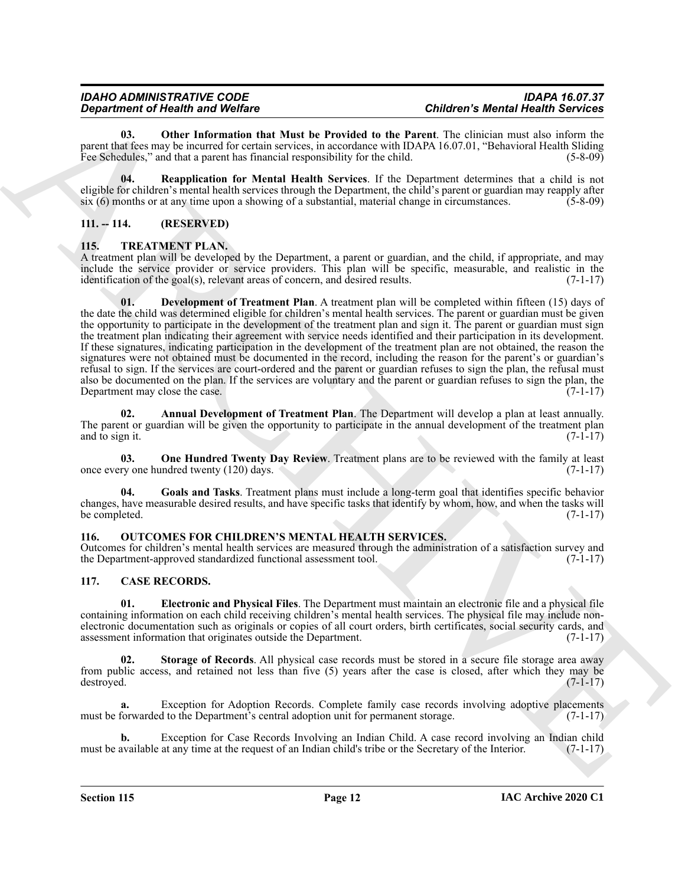<span id="page-11-7"></span>**03. Other Information that Must be Provided to the Parent**. The clinician must also inform the parent that fees may be incurred for certain services, in accordance with IDAPA 16.07.01, "Behavioral Health Sliding Fee Schedules," and that a parent has financial responsibility for the child. (5-8-09) (5-8-09)

<span id="page-11-8"></span>**04. Reapplication for Mental Health Services**. If the Department determines that a child is not eligible for children's mental health services through the Department, the child's parent or guardian may reapply after  $six (6)$  months or at any time upon a showing of a substantial, material change in circumstances. (5-8-09)

#### <span id="page-11-0"></span>**111. -- 114. (RESERVED)**

#### <span id="page-11-10"></span><span id="page-11-1"></span>**115. TREATMENT PLAN.**

<span id="page-11-12"></span>A treatment plan will be developed by the Department, a parent or guardian, and the child, if appropriate, and may include the service provider or service providers. This plan will be specific, measurable, and realistic in the identification of the goal(s), relevant areas of concern, and desired results. (7-1-17)

**Considered Friedrich and Value of Friedrich Schwarz (Columnication Columnication Columnication Columnication Columnication (Columnication Columnication Columnication Columnication Columnication Columnication (Columnicati 01. Development of Treatment Plan**. A treatment plan will be completed within fifteen (15) days of the date the child was determined eligible for children's mental health services. The parent or guardian must be given the opportunity to participate in the development of the treatment plan and sign it. The parent or guardian must sign the treatment plan indicating their agreement with service needs identified and their participation in its development. If these signatures, indicating participation in the development of the treatment plan are not obtained, the reason the signatures were not obtained must be documented in the record, including the reason for the parent's or guardian's refusal to sign. If the services are court-ordered and the parent or guardian refuses to sign the plan, the refusal must also be documented on the plan. If the services are voluntary and the parent or guardian refuses to sign the plan, the Department may close the case. (7-1-17)

<span id="page-11-11"></span>**02. Annual Development of Treatment Plan**. The Department will develop a plan at least annually. The parent or guardian will be given the opportunity to participate in the annual development of the treatment plan and to sign it.  $(7-1-17)$ 

<span id="page-11-14"></span>**03. One Hundred Twenty Day Review**. Treatment plans are to be reviewed with the family at least once every one hundred twenty (120) days. (7-1-17)

<span id="page-11-13"></span>**04. Goals and Tasks**. Treatment plans must include a long-term goal that identifies specific behavior changes, have measurable desired results, and have specific tasks that identify by whom, how, and when the tasks will be completed.

#### <span id="page-11-9"></span><span id="page-11-2"></span>**116. OUTCOMES FOR CHILDREN'S MENTAL HEALTH SERVICES.**

Outcomes for children's mental health services are measured through the administration of a satisfaction survey and the Department-approved standardized functional assessment tool. (7-1-17)

#### <span id="page-11-4"></span><span id="page-11-3"></span>**117. CASE RECORDS.**

<span id="page-11-5"></span>**01. Electronic and Physical Files**. The Department must maintain an electronic file and a physical file containing information on each child receiving children's mental health services. The physical file may include nonelectronic documentation such as originals or copies of all court orders, birth certificates, social security cards, and assessment information that originates outside the Department. (7-1-17) assessment information that originates outside the Department.

<span id="page-11-6"></span>**Storage of Records.** All physical case records must be stored in a secure file storage area away from public access, and retained not less than five (5) years after the case is closed, after which they may be destroyed. (7-1-17) destroyed. (7-1-17)

Exception for Adoption Records. Complete family case records involving adoptive placements must be forwarded to the Department's central adoption unit for permanent storage. (7-1-17)

**b.** Exception for Case Records Involving an Indian Child. A case record involving an Indian child must be available at any time at the request of an Indian child's tribe or the Secretary of the Interior. (7-1-17)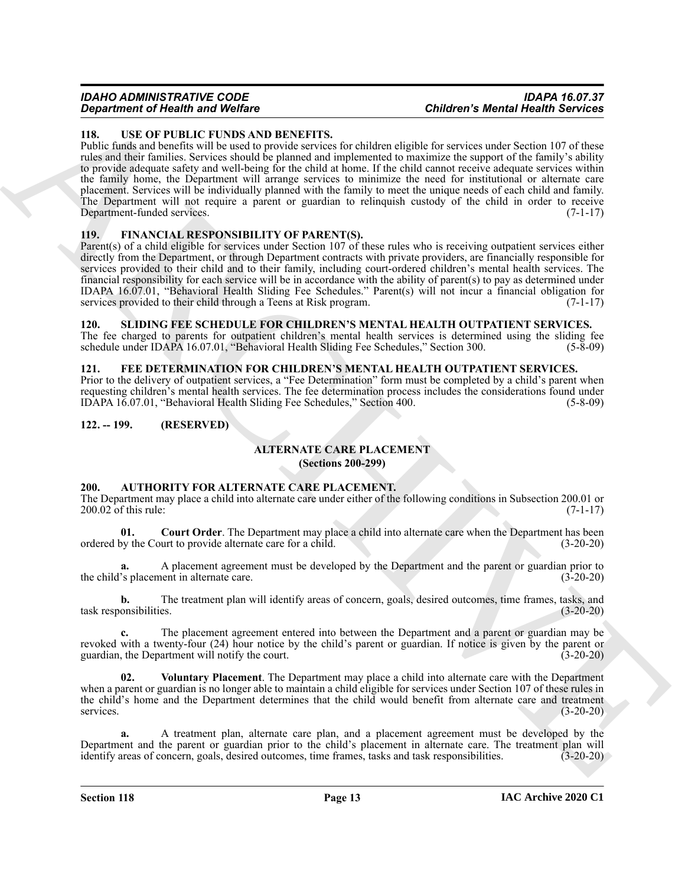## *Department of Health and Welfare*

## *IDAHO ADMINISTRATIVE CODE IDAPA 16.07.37*

#### <span id="page-12-14"></span><span id="page-12-0"></span>**118. USE OF PUBLIC FUNDS AND BENEFITS.**

**Contents of New York 1000** Website 11 Contents of New York 11 Contents and the state of New York 11 Contents and the state of New York 11 Contents and the state of New York 11 Contents and the state of New York 11 Conten Public funds and benefits will be used to provide services for children eligible for services under Section 107 of these rules and their families. Services should be planned and implemented to maximize the support of the family's ability to provide adequate safety and well-being for the child at home. If the child cannot receive adequate services within the family home, the Department will arrange services to minimize the need for institutional or alternate care placement. Services will be individually planned with the family to meet the unique needs of each child and family. The Department will not require a parent or guardian to relinquish custody of the child in order to receive Department-funded services. (7-1-17)

#### <span id="page-12-12"></span><span id="page-12-1"></span>**119. FINANCIAL RESPONSIBILITY OF PARENT(S).**

Parent(s) of a child eligible for services under Section 107 of these rules who is receiving outpatient services either directly from the Department, or through Department contracts with private providers, are financially responsible for services provided to their child and to their family, including court-ordered children's mental health services. The financial responsibility for each service will be in accordance with the ability of parent(s) to pay as determined under IDAPA 16.07.01, "Behavioral Health Sliding Fee Schedules." Parent(s) will not incur a financial obligation for services provided to their child through a Teens at Risk program.

#### <span id="page-12-13"></span><span id="page-12-2"></span>**120. SLIDING FEE SCHEDULE FOR CHILDREN'S MENTAL HEALTH OUTPATIENT SERVICES.**

The fee charged to parents for outpatient children's mental health services is determined using the sliding fee schedule under IDAPA 16.07.01, "Behavioral Health Sliding Fee Schedules," Section 300. (5-8-09)

#### <span id="page-12-11"></span><span id="page-12-3"></span>**121. FEE DETERMINATION FOR CHILDREN'S MENTAL HEALTH OUTPATIENT SERVICES.**

Prior to the delivery of outpatient services, a "Fee Determination" form must be completed by a child's parent when requesting children's mental health services. The fee determination process includes the considerations found under IDAPA 16.07.01, "Behavioral Health Sliding Fee Schedules," Section 400. (5-8-09)

#### <span id="page-12-5"></span><span id="page-12-4"></span>**122. -- 199. (RESERVED)**

### <span id="page-12-7"></span>**ALTERNATE CARE PLACEMENT**

**(Sections 200-299)**

#### <span id="page-12-8"></span><span id="page-12-6"></span>**200. AUTHORITY FOR ALTERNATE CARE PLACEMENT.**

The Department may place a child into alternate care under either of the following conditions in Subsection 200.01 or 200.02 of this rule: (7-1-17)

<span id="page-12-9"></span>**01. Court Order**. The Department may place a child into alternate care when the Department has been by the Court to provide alternate care for a child. (3-20-20) ordered by the Court to provide alternate care for a child.

**a.** A placement agreement must be developed by the Department and the parent or guardian prior to the child's placement in alternate care. (3-20-20)

**b.** The treatment plan will identify areas of concern, goals, desired outcomes, time frames, tasks, and task responsibilities. (3-20-20)

**c.** The placement agreement entered into between the Department and a parent or guardian may be revoked with a twenty-four (24) hour notice by the child's parent or guardian. If notice is given by the parent or guardian, the Department will notify the court. (3-20-20)

<span id="page-12-10"></span>**02. Voluntary Placement**. The Department may place a child into alternate care with the Department when a parent or guardian is no longer able to maintain a child eligible for services under Section 107 of these rules in the child's home and the Department determines that the child would benefit from alternate care and treatment services. (3-20-20) services. (3-20-20)

**a.** A treatment plan, alternate care plan, and a placement agreement must be developed by the Department and the parent or guardian prior to the child's placement in alternate care. The treatment plan will identify areas of concern, goals, desired outcomes, time frames, tasks and task responsibilities. (3-20-20) identify areas of concern, goals, desired outcomes, time frames, tasks and task responsibilities.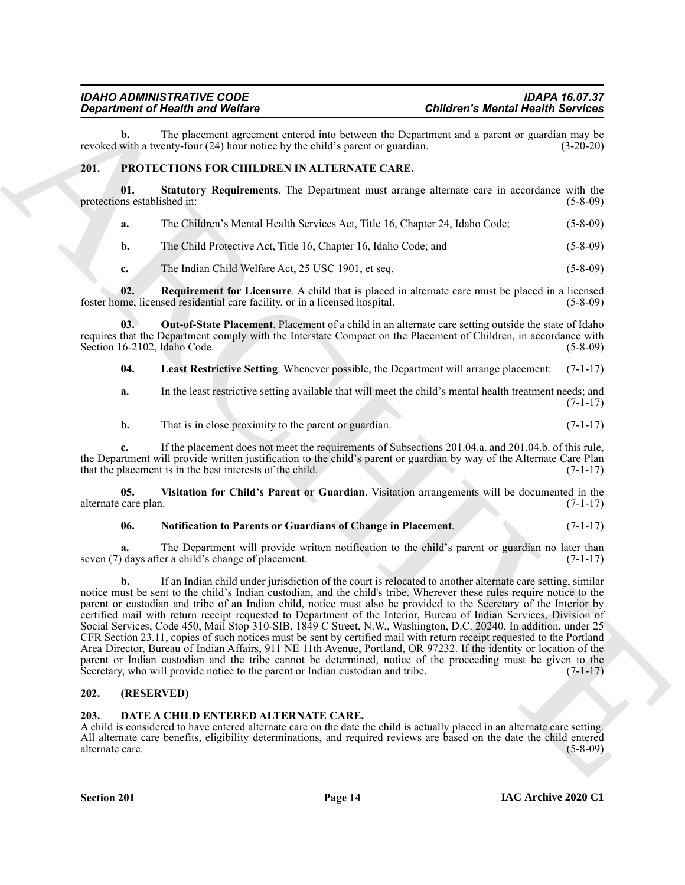## *Department of Health and Welfare*

The placement agreement entered into between the Department and a parent or guardian may be enty-four (24) hour notice by the child's parent or guardian. (3-20-20) revoked with a twenty-four  $(24)$  hour notice by the child's parent or guardian.

#### <span id="page-13-4"></span><span id="page-13-0"></span>**201. PROTECTIONS FOR CHILDREN IN ALTERNATE CARE.**

**01. Statutory Requirements**. The Department must arrange alternate care in accordance with the protections established in:

<span id="page-13-9"></span>

|  | а. | The Children's Mental Health Services Act, Title 16, Chapter 24, Idaho Code; | $(5 - 8 - 09)$ |
|--|----|------------------------------------------------------------------------------|----------------|
|--|----|------------------------------------------------------------------------------|----------------|

**b.** The Child Protective Act, Title 16, Chapter 16, Idaho Code; and (5-8-09)

<span id="page-13-8"></span><span id="page-13-7"></span>**c.** The Indian Child Welfare Act, 25 USC 1901, et seq. (5-8-09)

**02. Requirement for Licensure**. A child that is placed in alternate care must be placed in a licensed foster home, licensed residential care facility, or in a licensed hospital. (5-8-09)

**03. Out-of-State Placement**. Placement of a child in an alternate care setting outside the state of Idaho requires that the Department comply with the Interstate Compact on the Placement of Children, in accordance with Section 16-2102, Idaho Code. (5-8-09)

<span id="page-13-5"></span>**04. Least Restrictive Setting**. Whenever possible, the Department will arrange placement: (7-1-17)

**a.** In the least restrictive setting available that will meet the child's mental health treatment needs; and (7-1-17)

**b.** That is in close proximity to the parent or guardian. (7-1-17)

**c.** If the placement does not meet the requirements of Subsections 201.04.a. and 201.04.b. of this rule, the Department will provide written justification to the child's parent or guardian by way of the Alternate Care Plan that the placement is in the best interests of the child. (7-1-17)

**05. Visitation for Child's Parent or Guardian**. Visitation arrangements will be documented in the alternate care plan. (7-1-17)

#### <span id="page-13-10"></span><span id="page-13-6"></span>**06. Notification to Parents or Guardians of Change in Placement**. (7-1-17)

**a.** The Department will provide written notification to the child's parent or guardian no later than seven (7) days after a child's change of placement. (7-1-17)

Gegardment of Nearly Works on Containing the systems the Department of space of the systems of the systems of the systems of the systems of the systems of the systems of the systems of the systems of the systems of the sy **b.** If an Indian child under jurisdiction of the court is relocated to another alternate care setting, similar notice must be sent to the child's Indian custodian, and the child's tribe. Wherever these rules require notice to the parent or custodian and tribe of an Indian child, notice must also be provided to the Secretary of the Interior by certified mail with return receipt requested to Department of the Interior, Bureau of Indian Services, Division of Social Services, Code 450, Mail Stop 310-SIB, 1849 C Street, N.W., Washington, D.C. 20240. In addition, under 25 CFR Section 23.11, copies of such notices must be sent by certified mail with return receipt requested to the Portland Area Director, Bureau of Indian Affairs, 911 NE 11th Avenue, Portland, OR 97232. If the identity or location of the parent or Indian custodian and the tribe cannot be determined, notice of the proceeding must be given to the Secretary, who will provide notice to the parent or Indian custodian and tribe. (7-1-17)

#### <span id="page-13-1"></span>**202. (RESERVED)**

#### <span id="page-13-3"></span><span id="page-13-2"></span>**203. DATE A CHILD ENTERED ALTERNATE CARE.**

A child is considered to have entered alternate care on the date the child is actually placed in an alternate care setting. All alternate care benefits, eligibility determinations, and required reviews are based on the date the child entered alternate care. (5-8-09)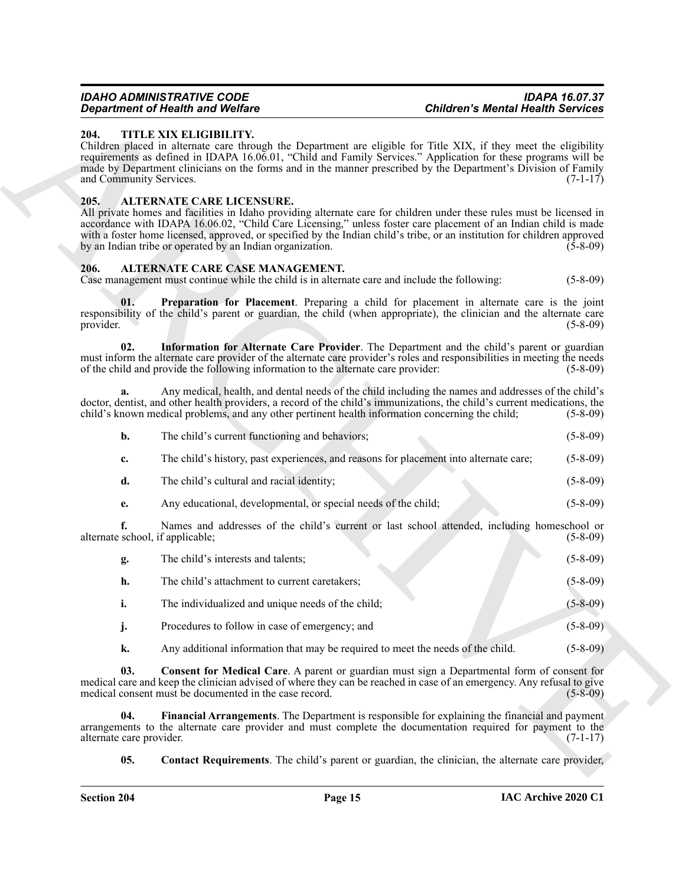#### <span id="page-14-10"></span><span id="page-14-0"></span>**204. TITLE XIX ELIGIBILITY.**

#### <span id="page-14-9"></span><span id="page-14-1"></span>**205. ALTERNATE CARE LICENSURE.**

#### <span id="page-14-8"></span><span id="page-14-7"></span><span id="page-14-3"></span><span id="page-14-2"></span>**206. ALTERNATE CARE CASE MANAGEMENT.**

| The child's current functioning and behaviors;                                        | $(5-8-09)$ |
|---------------------------------------------------------------------------------------|------------|
| The child's history, past experiences, and reasons for placement into alternate care; | $(5-8-09)$ |

- **d.** The child's cultural and racial identity; (5-8-09)
- <span id="page-14-6"></span><span id="page-14-5"></span><span id="page-14-4"></span>**e.** Any educational, developmental, or special needs of the child; (5-8-09)

|                                        | <b>Department of Health and Welfare</b>                                                                                          | <b>Children's Mental Health Services</b>                                                                                                                                                                                                                                                                                                                             |                |
|----------------------------------------|----------------------------------------------------------------------------------------------------------------------------------|----------------------------------------------------------------------------------------------------------------------------------------------------------------------------------------------------------------------------------------------------------------------------------------------------------------------------------------------------------------------|----------------|
| 204.<br>and Community Services.        | TITLE XIX ELIGIBILITY.                                                                                                           | Children placed in alternate care through the Department are eligible for Title XIX, if they meet the eligibility<br>requirements as defined in IDAPA 16.06.01, "Child and Family Services." Application for these programs will be<br>made by Department clinicians on the forms and in the manner prescribed by the Department's Division of Family                | $(7-1-17)$     |
| 205.                                   | ALTERNATE CARE LICENSURE.<br>by an Indian tribe or operated by an Indian organization.                                           | All private homes and facilities in Idaho providing alternate care for children under these rules must be licensed in<br>accordance with IDAPA 16.06.02, "Child Care Licensing," unless foster care placement of an Indian child is made<br>with a foster home licensed, approved, or specified by the Indian child's tribe, or an institution for children approved | $(5-8-09)$     |
| 206.                                   | ALTERNATE CARE CASE MANAGEMENT.<br>Case management must continue while the child is in alternate care and include the following: |                                                                                                                                                                                                                                                                                                                                                                      | $(5-8-09)$     |
| 01.<br>provider.                       |                                                                                                                                  | <b>Preparation for Placement</b> . Preparing a child for placement in alternate care is the joint<br>responsibility of the child's parent or guardian, the child (when appropriate), the clinician and the alternate care                                                                                                                                            | $(5-8-09)$     |
| 02.                                    | of the child and provide the following information to the alternate care provider:                                               | Information for Alternate Care Provider. The Department and the child's parent or guardian<br>must inform the alternate care provider of the alternate care provider's roles and responsibilities in meeting the needs                                                                                                                                               | $(5-8-09)$     |
| a.                                     | child's known medical problems, and any other pertinent health information concerning the child;                                 | Any medical, health, and dental needs of the child including the names and addresses of the child's<br>doctor, dentist, and other health providers, a record of the child's immunizations, the child's current medications, the                                                                                                                                      | $(5-8-09)$     |
| b.                                     | The child's current functioning and behaviors;                                                                                   |                                                                                                                                                                                                                                                                                                                                                                      | $(5-8-09)$     |
| c.                                     |                                                                                                                                  | The child's history, past experiences, and reasons for placement into alternate care;                                                                                                                                                                                                                                                                                | $(5-8-09)$     |
| d.                                     | The child's cultural and racial identity;                                                                                        |                                                                                                                                                                                                                                                                                                                                                                      | $(5-8-09)$     |
| e.                                     | Any educational, developmental, or special needs of the child;                                                                   |                                                                                                                                                                                                                                                                                                                                                                      | $(5-8-09)$     |
| f.<br>alternate school, if applicable; |                                                                                                                                  | Names and addresses of the child's current or last school attended, including homeschool or                                                                                                                                                                                                                                                                          | $(5-8-09)$     |
| g.                                     | The child's interests and talents;                                                                                               |                                                                                                                                                                                                                                                                                                                                                                      | $(5-8-09)$     |
| h.                                     | The child's attachment to current caretakers;                                                                                    |                                                                                                                                                                                                                                                                                                                                                                      | $(5-8-09)$     |
| i.                                     | The individualized and unique needs of the child;                                                                                |                                                                                                                                                                                                                                                                                                                                                                      | $(5 - 8 - 09)$ |
| j.                                     | Procedures to follow in case of emergency; and                                                                                   |                                                                                                                                                                                                                                                                                                                                                                      | $(5-8-09)$     |
| k.                                     | Any additional information that may be required to meet the needs of the child.                                                  |                                                                                                                                                                                                                                                                                                                                                                      | $(5-8-09)$     |
| 03.                                    | medical consent must be documented in the case record.                                                                           | Consent for Medical Care. A parent or guardian must sign a Departmental form of consent for<br>medical care and keep the clinician advised of where they can be reached in case of an emergency. Any refusal to give                                                                                                                                                 | $(5-8-09)$     |
| 04.<br>alternate care provider.        |                                                                                                                                  | Financial Arrangements. The Department is responsible for explaining the financial and payment<br>arrangements to the alternate care provider and must complete the documentation required for payment to the                                                                                                                                                        | $(7-1-17)$     |
| 05.                                    |                                                                                                                                  | <b>Contact Requirements.</b> The child's parent or guardian, the clinician, the alternate care provider,                                                                                                                                                                                                                                                             |                |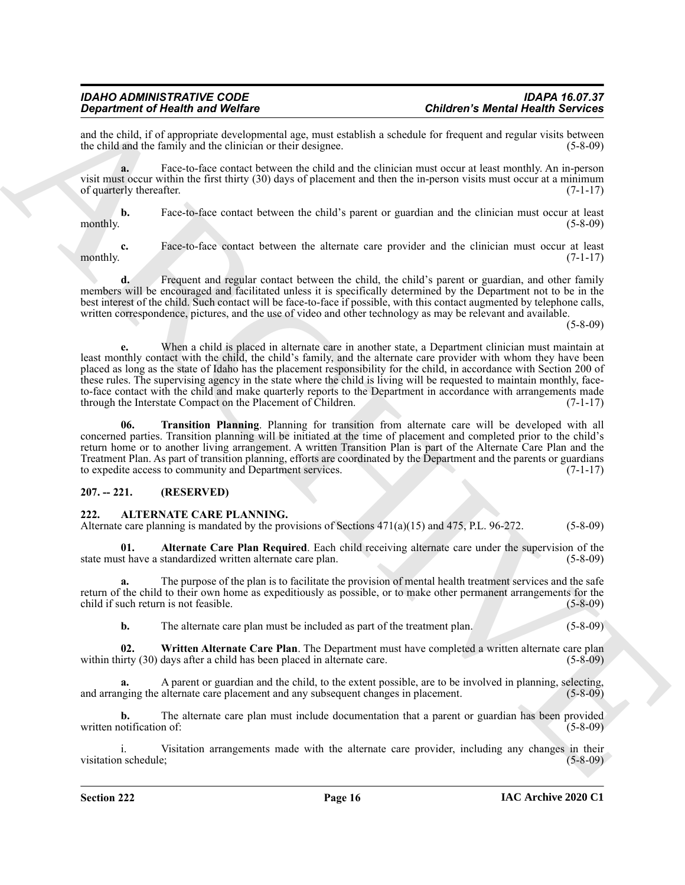and the child, if of appropriate developmental age, must establish a schedule for frequent and regular visits between<br>the child and the family and the clinician or their designee. (5-8-09) the child and the family and the clinician or their designee.

**a.** Face-to-face contact between the child and the clinician must occur at least monthly. An in-person visit must occur within the first thirty (30) days of placement and then the in-person visits must occur at a minimum of quarterly thereafter. (7-1-17)

**b.** Face-to-face contact between the child's parent or guardian and the clinician must occur at least monthly.  $(5-8-09)$ 

**c.** Face-to-face contact between the alternate care provider and the clinician must occur at least monthly.  $(7-1-17)$ 

**d.** Frequent and regular contact between the child, the child's parent or guardian, and other family members will be encouraged and facilitated unless it is specifically determined by the Department not to be in the best interest of the child. Such contact will be face-to-face if possible, with this contact augmented by telephone calls, written correspondence, pictures, and the use of video and other technology as may be relevant and available.

(5-8-09)

**Charles of New York Constrainers** Charles Charles Charles and Charles Charles Charles Charles Charles Charles Charles Charles Charles Charles Charles Charles Charles Charles Charles Charles Charles Charles Charles Charle **e.** When a child is placed in alternate care in another state, a Department clinician must maintain at least monthly contact with the child, the child's family, and the alternate care provider with whom they have been placed as long as the state of Idaho has the placement responsibility for the child, in accordance with Section 200 of these rules. The supervising agency in the state where the child is living will be requested to maintain monthly, faceto-face contact with the child and make quarterly reports to the Department in accordance with arrangements made through the Interstate Compact on the Placement of Children. (7-1-17)

<span id="page-15-2"></span>**06. Transition Planning**. Planning for transition from alternate care will be developed with all concerned parties. Transition planning will be initiated at the time of placement and completed prior to the child's return home or to another living arrangement. A written Transition Plan is part of the Alternate Care Plan and the Treatment Plan. As part of transition planning, efforts are coordinated by the Department and the parents or guardians to expedite access to community and Department services. (7-1-17)

#### <span id="page-15-0"></span>**207. -- 221. (RESERVED)**

#### <span id="page-15-3"></span><span id="page-15-1"></span>**222. ALTERNATE CARE PLANNING.**

Alternate care planning is mandated by the provisions of Sections  $471(a)(15)$  and  $475$ , P.L. 96-272. (5-8-09)

<span id="page-15-4"></span>**01. Alternate Care Plan Required**. Each child receiving alternate care under the supervision of the state must have a standardized written alternate care plan. (5-8-09)

**a.** The purpose of the plan is to facilitate the provision of mental health treatment services and the safe return of the child to their own home as expeditiously as possible, or to make other permanent arrangements for the child if such return is not feasible. (5-8-09)

<span id="page-15-5"></span>**b.** The alternate care plan must be included as part of the treatment plan.  $(5-8-09)$ 

**02. Written Alternate Care Plan**. The Department must have completed a written alternate care plan within thirty (30) days after a child has been placed in alternate care. (5-8-09)

**a.** A parent or guardian and the child, to the extent possible, are to be involved in planning, selecting, and arranging the alternate care placement and any subsequent changes in placement. (5-8-09)

**b.** The alternate care plan must include documentation that a parent or guardian has been provided written notification of: (5-8-09)

i. Visitation arrangements made with the alternate care provider, including any changes in their visitation schedule; (5-8-09) (5-8-09)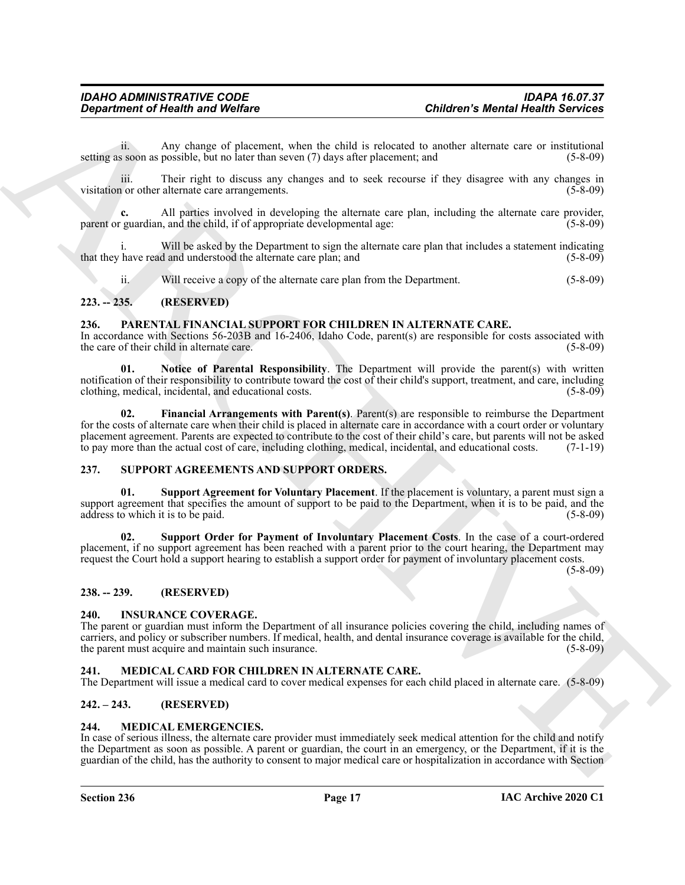ii. Any change of placement, when the child is relocated to another alternate care or institutional setting as soon as possible, but no later than seven (7) days after placement; and (5-8-09)

iii. Their right to discuss any changes and to seek recourse if they disagree with any changes in visitation or other alternate care arrangements. (5-8-09)

**c.** All parties involved in developing the alternate care plan, including the alternate care provider, parent or guardian, and the child, if of appropriate developmental age: (5-8-09)

Will be asked by the Department to sign the alternate care plan that includes a statement indicating that they have read and understood the alternate care plan; and (5-8-09)

<span id="page-16-11"></span>ii. Will receive a copy of the alternate care plan from the Department. (5-8-09)

#### <span id="page-16-0"></span>**223. -- 235. (RESERVED)**

#### <span id="page-16-1"></span>**236. PARENTAL FINANCIAL SUPPORT FOR CHILDREN IN ALTERNATE CARE.**

In accordance with Sections 56-203B and 16-2406, Idaho Code, parent(s) are responsible for costs associated with the care of their child in alternate care. (5-8-09)

<span id="page-16-13"></span><span id="page-16-12"></span>**01. Notice of Parental Responsibility**. The Department will provide the parent(s) with written notification of their responsibility to contribute toward the cost of their child's support, treatment, and care, including clothing, medical, incidental, and educational costs. (5-8-09)

**Critical of New Single of Figure 10.** Children Call is reduced to sample at the sample of the sample of the sample of the sample of the sample of the sample of the sample of the sample of the sample of the sample of the **02. Financial Arrangements with Parent(s)**. Parent(s) are responsible to reimburse the Department for the costs of alternate care when their child is placed in alternate care in accordance with a court order or voluntary placement agreement. Parents are expected to contribute to the cost of their child's care, but parents will not be asked to pay more than the actual cost of care, including clothing, medical, incidental, and educational costs. (7-1-19)

#### <span id="page-16-14"></span><span id="page-16-2"></span>**237. SUPPORT AGREEMENTS AND SUPPORT ORDERS.**

<span id="page-16-15"></span>**Support Agreement for Voluntary Placement**. If the placement is voluntary, a parent must sign a support agreement that specifies the amount of support to be paid to the Department, when it is to be paid, and the address to which it is to be paid. (5-8-09) address to which it is to be paid.

<span id="page-16-16"></span>**02. Support Order for Payment of Involuntary Placement Costs**. In the case of a court-ordered placement, if no support agreement has been reached with a parent prior to the court hearing, the Department may request the Court hold a support hearing to establish a support order for payment of involuntary placement costs.

 $(5-8-09)$ 

#### <span id="page-16-3"></span>**238. -- 239. (RESERVED)**

#### <span id="page-16-8"></span><span id="page-16-4"></span>**240. INSURANCE COVERAGE.**

The parent or guardian must inform the Department of all insurance policies covering the child, including names of carriers, and policy or subscriber numbers. If medical, health, and dental insurance coverage is available for the child, the parent must acquire and maintain such insurance. (5-8-09)

#### <span id="page-16-9"></span><span id="page-16-5"></span>**241. MEDICAL CARD FOR CHILDREN IN ALTERNATE CARE.**

The Department will issue a medical card to cover medical expenses for each child placed in alternate care. (5-8-09)

#### <span id="page-16-6"></span>**242. – 243. (RESERVED)**

#### <span id="page-16-10"></span><span id="page-16-7"></span>**244. MEDICAL EMERGENCIES.**

In case of serious illness, the alternate care provider must immediately seek medical attention for the child and notify the Department as soon as possible. A parent or guardian, the court in an emergency, or the Department, if it is the guardian of the child, has the authority to consent to major medical care or hospitalization in accordance with Section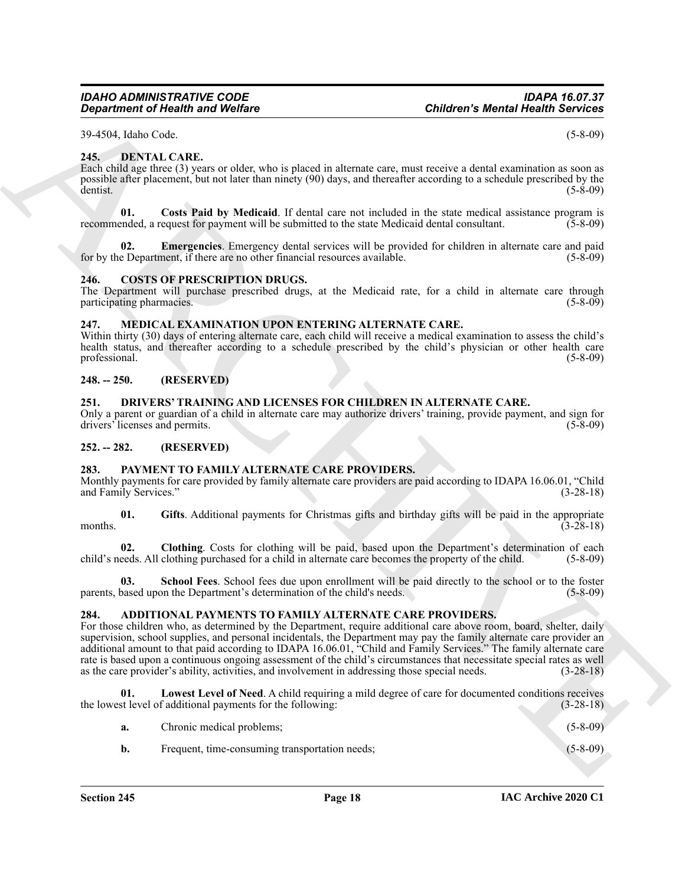39-4504, Idaho Code. (5-8-09)

#### <span id="page-17-11"></span><span id="page-17-0"></span>**245. DENTAL CARE.**

Each child age three (3) years or older, who is placed in alternate care, must receive a dental examination as soon as possible after placement, but not later than ninety (90) days, and thereafter according to a schedule prescribed by the dentist. (5-8-09)

<span id="page-17-12"></span>**01. Costs Paid by Medicaid**. If dental care not included in the state medical assistance program is recommended, a request for payment will be submitted to the state Medicaid dental consultant. (5-8-09)

<span id="page-17-13"></span>**02. Emergencies**. Emergency dental services will be provided for children in alternate care and paid for by the Department, if there are no other financial resources available. (5-8-09)

#### <span id="page-17-10"></span><span id="page-17-1"></span>**246. COSTS OF PRESCRIPTION DRUGS.**

The Department will purchase prescribed drugs, at the Medicaid rate, for a child in alternate care through participating pharmacies. (5-8-09) participating pharmacies.

#### <span id="page-17-15"></span><span id="page-17-2"></span>**247. MEDICAL EXAMINATION UPON ENTERING ALTERNATE CARE.**

Within thirty (30) days of entering alternate care, each child will receive a medical examination to assess the child's health status, and thereafter according to a schedule prescribed by the child's physician or other health care professional. (5-8-09)

#### <span id="page-17-3"></span>**248. -- 250. (RESERVED)**

#### <span id="page-17-14"></span><span id="page-17-4"></span>**251. DRIVERS' TRAINING AND LICENSES FOR CHILDREN IN ALTERNATE CARE.**

Only a parent or guardian of a child in alternate care may authorize drivers' training, provide payment, and sign for drivers' licenses and permits. (5-8-09)

<span id="page-17-5"></span>**252. -- 282. (RESERVED)**

#### <span id="page-17-16"></span><span id="page-17-6"></span>**283. PAYMENT TO FAMILY ALTERNATE CARE PROVIDERS.**

Monthly payments for care provided by family alternate care providers are paid according to IDAPA 16.06.01, "Child and Family Services." (3-28-18)

<span id="page-17-18"></span>**01. Gifts**. Additional payments for Christmas gifts and birthday gifts will be paid in the appropriate months.  $(3-28-18)$ 

<span id="page-17-17"></span>**02. Clothing**. Costs for clothing will be paid, based upon the Department's determination of each child's needs. All clothing purchased for a child in alternate care becomes the property of the child. (5-8-09)

<span id="page-17-19"></span>**School Fees**. School fees due upon enrollment will be paid directly to the school or to the foster parents, based upon the Department's determination of the child's needs. (5-8-09)

#### <span id="page-17-8"></span><span id="page-17-7"></span>**284. ADDITIONAL PAYMENTS TO FAMILY ALTERNATE CARE PROVIDERS.**

ARCHIVE For those children who, as determined by the Department, require additional care above room, board, shelter, daily supervision, school supplies, and personal incidentals, the Department may pay the family alternate care provider an additional amount to that paid according to IDAPA 16.06.01, "Child and Family Services." The family alternate care rate is based upon a continuous ongoing assessment of the child's circumstances that necessitate special rates as well as the care provider's ability, activities, and involvement in addressing those special needs. (3-28-18)

**01. Lowest Level of Need**. A child requiring a mild degree of care for documented conditions receives the lowest level of additional payments for the following: (3-28-18)

<span id="page-17-9"></span>

| Chronic medical problems;                      | $(5-8-09)$ |
|------------------------------------------------|------------|
| Frequent, time-consuming transportation needs; | $(5-8-09)$ |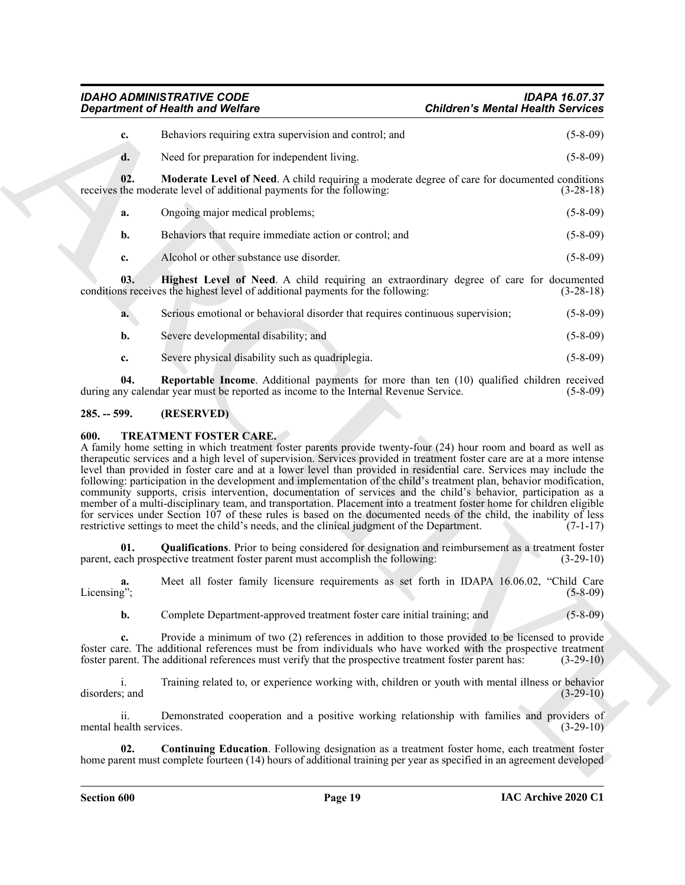<span id="page-18-3"></span>*IDAHO ADMINISTRATIVE CODE IDAPA 16.07.37*

|                                | <b>Department of Health and Welfare</b>                                                                                                                                                                                                                                                                                                                                                                                                                                                                                                                                                | <b>Children's Mental Health Services</b> |
|--------------------------------|----------------------------------------------------------------------------------------------------------------------------------------------------------------------------------------------------------------------------------------------------------------------------------------------------------------------------------------------------------------------------------------------------------------------------------------------------------------------------------------------------------------------------------------------------------------------------------------|------------------------------------------|
| c.                             | Behaviors requiring extra supervision and control; and                                                                                                                                                                                                                                                                                                                                                                                                                                                                                                                                 | $(5-8-09)$                               |
| d.                             | Need for preparation for independent living.                                                                                                                                                                                                                                                                                                                                                                                                                                                                                                                                           | $(5-8-09)$                               |
| 02.                            | Moderate Level of Need. A child requiring a moderate degree of care for documented conditions<br>receives the moderate level of additional payments for the following:                                                                                                                                                                                                                                                                                                                                                                                                                 | $(3-28-18)$                              |
| a.                             | Ongoing major medical problems;                                                                                                                                                                                                                                                                                                                                                                                                                                                                                                                                                        | $(5 - 8 - 09)$                           |
| b.                             | Behaviors that require immediate action or control; and                                                                                                                                                                                                                                                                                                                                                                                                                                                                                                                                | $(5-8-09)$                               |
| c.                             | Alcohol or other substance use disorder.                                                                                                                                                                                                                                                                                                                                                                                                                                                                                                                                               | $(5-8-09)$                               |
| 03.                            | Highest Level of Need. A child requiring an extraordinary degree of care for documented<br>conditions receives the highest level of additional payments for the following:                                                                                                                                                                                                                                                                                                                                                                                                             | $(3-28-18)$                              |
| a.                             | Serious emotional or behavioral disorder that requires continuous supervision;                                                                                                                                                                                                                                                                                                                                                                                                                                                                                                         | $(5-8-09)$                               |
| b.                             | Severe developmental disability; and                                                                                                                                                                                                                                                                                                                                                                                                                                                                                                                                                   | $(5-8-09)$                               |
| c.                             | Severe physical disability such as quadriplegia.                                                                                                                                                                                                                                                                                                                                                                                                                                                                                                                                       | $(5 - 8 - 09)$                           |
| 04.                            | <b>Reportable Income.</b> Additional payments for more than ten (10) qualified children received<br>during any calendar year must be reported as income to the Internal Revenue Service.                                                                                                                                                                                                                                                                                                                                                                                               | $(5-8-09)$                               |
| $285. - 599.$                  | (RESERVED)                                                                                                                                                                                                                                                                                                                                                                                                                                                                                                                                                                             |                                          |
|                                | <b>TREATMENT FOSTER CARE.</b><br>A family home setting in which treatment foster parents provide twenty-four (24) hour room and board as well as<br>therapeutic services and a high level of supervision. Services provided in treatment foster care are at a more intense<br>level than provided in foster care and at a lower level than provided in residential care. Services may include the                                                                                                                                                                                      |                                          |
|                                | following: participation in the development and implementation of the child's treatment plan, behavior modification,<br>community supports, crisis intervention, documentation of services and the child's behavior, participation as a<br>member of a multi-disciplinary team, and transportation. Placement into a treatment foster home for children eligible<br>for services under Section 107 of these rules is based on the documented needs of the child, the inability of less<br>restrictive settings to meet the child's needs, and the clinical judgment of the Department. | $(7-1-17)$                               |
| 01.                            | <b>Qualifications.</b> Prior to being considered for designation and reimbursement as a treatment foster<br>parent, each prospective treatment foster parent must accomplish the following:                                                                                                                                                                                                                                                                                                                                                                                            | $(3-29-10)$                              |
| a.                             | Meet all foster family licensure requirements as set forth in IDAPA 16.06.02, "Child Care                                                                                                                                                                                                                                                                                                                                                                                                                                                                                              | $(5 - 8 - 09)$                           |
| b.                             | Complete Department-approved treatment foster care initial training; and                                                                                                                                                                                                                                                                                                                                                                                                                                                                                                               | $(5 - 8 - 09)$                           |
| Licensing";<br>c.              | Provide a minimum of two (2) references in addition to those provided to be licensed to provide<br>foster care. The additional references must be from individuals who have worked with the prospective treatment<br>foster parent. The additional references must verify that the prospective treatment foster parent has:                                                                                                                                                                                                                                                            | $(3-29-10)$                              |
| i.<br>disorders; and           | Training related to, or experience working with, children or youth with mental illness or behavior                                                                                                                                                                                                                                                                                                                                                                                                                                                                                     | $(3-29-10)$                              |
| ii.<br>mental health services. | Demonstrated cooperation and a positive working relationship with families and providers of                                                                                                                                                                                                                                                                                                                                                                                                                                                                                            | $(3-29-10)$                              |

#### <span id="page-18-4"></span><span id="page-18-2"></span><span id="page-18-0"></span>**285. -- 599. (RESERVED)**

#### <span id="page-18-7"></span><span id="page-18-6"></span><span id="page-18-5"></span><span id="page-18-1"></span>**600. TREATMENT FOSTER CARE.**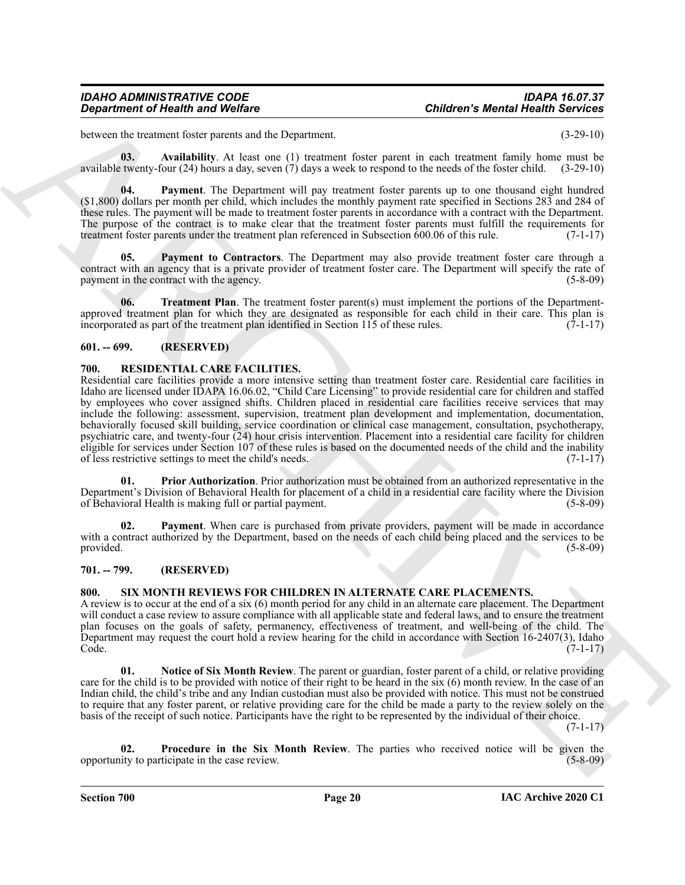between the treatment foster parents and the Department. (3-29-10)

<span id="page-19-10"></span>**03. Availability**. At least one (1) treatment foster parent in each treatment family home must be available twenty-four (24) hours a day, seven (7) days a week to respond to the needs of the foster child. (3-29-10)

<span id="page-19-11"></span>**04. Payment**. The Department will pay treatment foster parents up to one thousand eight hundred (\$1,800) dollars per month per child, which includes the monthly payment rate specified in Sections 283 and 284 of these rules. The payment will be made to treatment foster parents in accordance with a contract with the Department. The purpose of the contract is to make clear that the treatment foster parents must fulfill the requirements for treatment foster parents under the treatment plan referenced in Subsection 600.06 of this rule. (7-1-17)

<span id="page-19-12"></span>Payment to Contractors. The Department may also provide treatment foster care through a contract with an agency that is a private provider of treatment foster care. The Department will specify the rate of payment in the contract with the agency. (5-8-09) (5-8-09)

<span id="page-19-13"></span>**06.** Treatment Plan. The treatment foster parent(s) must implement the portions of the Departmentapproved treatment plan for which they are designated as responsible for each child in their care. This plan is incorporated as part of the treatment plan identified in Section 115 of these rules.  $(7-1-17)$ 

#### <span id="page-19-0"></span>**601. -- 699. (RESERVED)**

#### <span id="page-19-4"></span><span id="page-19-1"></span>**700. RESIDENTIAL CARE FACILITIES.**

**Criticismum of Health was Wedler<br>
Sometime in Wedler<br>
Sometime in the state of the Control of the Control of the Control of the Control of the Control of the Control of the Control of the Control of the Control of the Co** Residential care facilities provide a more intensive setting than treatment foster care. Residential care facilities in Idaho are licensed under IDAPA 16.06.02, "Child Care Licensing" to provide residential care for children and staffed by employees who cover assigned shifts. Children placed in residential care facilities receive services that may include the following: assessment, supervision, treatment plan development and implementation, documentation, behaviorally focused skill building, service coordination or clinical case management, consultation, psychotherapy, psychiatric care, and twenty-four (24) hour crisis intervention. Placement into a residential care facility for children eligible for services under Section 107 of these rules is based on the documented needs of the child and the inability of less restrictive settings to meet the child's needs. (7-1-17)

<span id="page-19-6"></span>**01. Prior Authorization**. Prior authorization must be obtained from an authorized representative in the Department's Division of Behavioral Health for placement of a child in a residential care facility where the Division of Behavioral Health is making full or partial payment. (5-8-09)

<span id="page-19-5"></span>**02. Payment**. When care is purchased from private providers, payment will be made in accordance with a contract authorized by the Department, based on the needs of each child being placed and the services to be provided. (5-8-09)

#### <span id="page-19-2"></span>**701. -- 799. (RESERVED)**

#### <span id="page-19-7"></span><span id="page-19-3"></span>**800. SIX MONTH REVIEWS FOR CHILDREN IN ALTERNATE CARE PLACEMENTS.**

A review is to occur at the end of a six (6) month period for any child in an alternate care placement. The Department will conduct a case review to assure compliance with all applicable state and federal laws, and to ensure the treatment plan focuses on the goals of safety, permanency, effectiveness of treatment, and well-being of the child. The Department may request the court hold a review hearing for the child in accordance with Section 16-2407(3), Idaho Code. (7-1-17) (1999) и последник се применени се применени се применени се применени (1999) и последник (1999)

<span id="page-19-8"></span>**01. Notice of Six Month Review**. The parent or guardian, foster parent of a child, or relative providing care for the child is to be provided with notice of their right to be heard in the six (6) month review. In the case of an Indian child, the child's tribe and any Indian custodian must also be provided with notice. This must not be construed to require that any foster parent, or relative providing care for the child be made a party to the review solely on the basis of the receipt of such notice. Participants have the right to be represented by the individual of their choice.

(7-1-17)

<span id="page-19-9"></span>**02. Procedure in the Six Month Review**. The parties who received notice will be given the opportunity to participate in the case review. (5-8-09)

**Section 700 Page 20**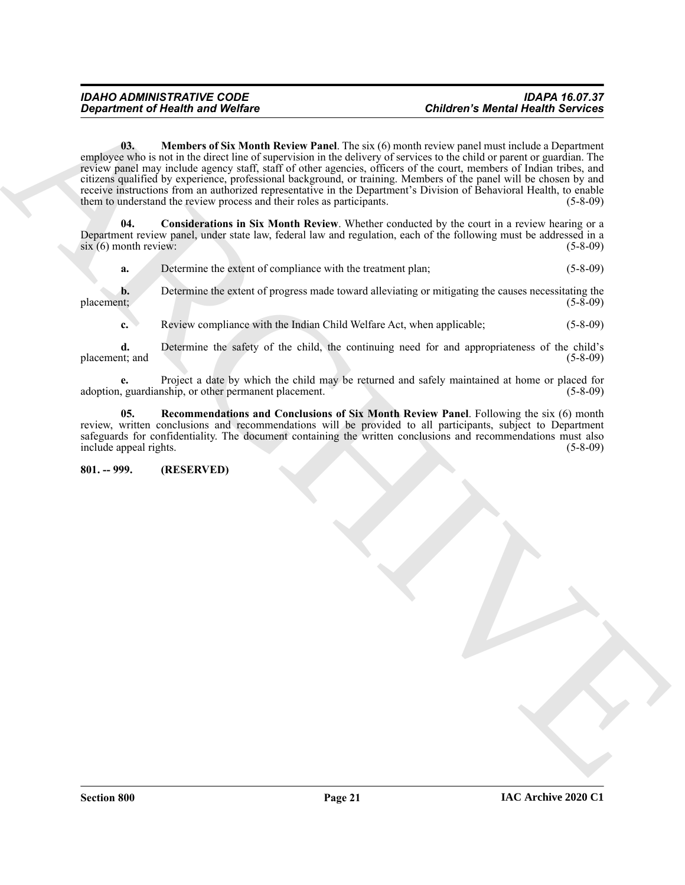## <span id="page-20-2"></span>*IDAHO ADMINISTRATIVE CODE IDAPA 16.07.37*

**Children's Meridian Solution CS (A)** Meridian Children's Paul Track (6) method in a subsequential control of the subsequential control of the subsequential control of the subsequential control of the subsequential contro **03. Members of Six Month Review Panel**. The six (6) month review panel must include a Department employee who is not in the direct line of supervision in the delivery of services to the child or parent or guardian. The review panel may include agency staff, staff of other agencies, officers of the court, members of Indian tribes, and citizens qualified by experience, professional background, or training. Members of the panel will be chosen by and receive instructions from an authorized representative in the Department's Division of Behavioral Health, to enable<br>them to understand the review process and their roles as participants. (5-8-09) them to understand the review process and their roles as participants.

<span id="page-20-1"></span>**04. Considerations in Six Month Review**. Whether conducted by the court in a review hearing or a Department review panel, under state law, federal law and regulation, each of the following must be addressed in a  $\sin(6)$  month review: (5-8-09)

|            | Determine the extent of compliance with the treatment plan:                                         | (5-8-09) |
|------------|-----------------------------------------------------------------------------------------------------|----------|
|            | Determine the extent of progress made toward alleviating or mitigating the causes necessitating the |          |
| placement: |                                                                                                     | (5-8-09) |

**c.** Review compliance with the Indian Child Welfare Act, when applicable; (5-8-09)

**d.** Determine the safety of the child, the continuing need for and appropriateness of the child's placement; and (5-8-09) (3-8)

**e.** Project a date by which the child may be returned and safely maintained at home or placed for adoption, guardianship, or other permanent placement. (5-8-09)

<span id="page-20-3"></span>**05. Recommendations and Conclusions of Six Month Review Panel**. Following the six (6) month review, written conclusions and recommendations will be provided to all participants, subject to Department safeguards for confidentiality. The document containing the written conclusions and recommendations must also include appeal rights. (5-8-09)

#### <span id="page-20-0"></span>**801. -- 999. (RESERVED)**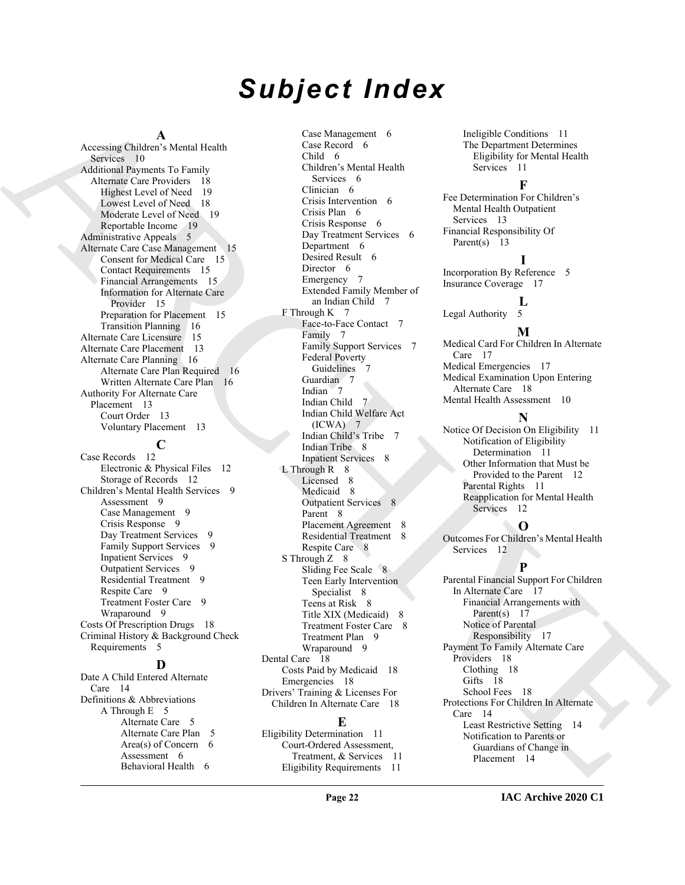# *Subject Index*

#### **A**

Accessing Children's Mental Health Services 10 Additional Payments To Family Alternate Care Providers 18 Highest Level of Need 19 Lowest Level of Need 18 Moderate Level of Need 19 Reportable Income 19 Administrative Appeals 5 Alternate Care Case Management 15 Consent for Medical Care 15 Contact Requirements 15 Financial Arrangements 15 Information for Alternate Care Provider 15 Preparation for Placement 15 Transition Planning 16 Alternate Care Licensure 15 Alternate Care Placement 13 Alternate Care Planning 16 Alternate Care Plan Required 16 Written Alternate Care Plan 16 Authority For Alternate Care Placement 13 Court Order 13 Voluntary Placement 13 **C** Case Records 12 Electronic & Physical Files 12 Storage of Records 12

Children's Mental Health Services 9 Assessment 9 Case Management 9 Crisis Response 9 Day Treatment Services 9 Family Support Services 9 Inpatient Services 9 Outpatient Services 9 Residential Treatment 9 Respite Care 9 Treatment Foster Care 9 Wraparound 9 Costs Of Prescription Drugs 18 Criminal History & Background Check Requirements 5

#### **D**

Date A Child Entered Alternate Care 14 Definitions & Abbreviations A Through E 5 Alternate Care 5 Alternate Care Plan 5 Area(s) of Concern  $6$ Assessment 6 Behavioral Health 6

[A](#page-9-3)ccount (i.e. of the control of the control of the control of the control of the control of the control of the control of the control of the control of the control of the control of the control of the control of the contr Case Management 6 Case Record 6 Child 6 Children's Mental Health Services 6 Clinician 6 Crisis Intervention 6 Crisis Plan 6 Crisis Response 6 Day Treatment Services 6 Department 6 Desired Result 6 Director 6 Emergency 7 Extended Family Member of an Indian Child 7 F Through K 7 Face-to-Face Contact 7 Family 7 Family Support Services 7 Federal Poverty Guidelines Guardian 7 Indian 7 Indian Child 7 Indian Child Welfare Act (ICWA) 7 Indian Child's Tribe 7 Indian Tribe 8 Inpatient Services 8  $L$  Through R  $8$ Licensed 8 Medicaid 8 Outpatient Services 8 Parent 8 Placement Agreement 8 Residential Treatment 8 Respite Care 8 S Through Z 8 Sliding Fee Scale 8 Teen Early Intervention Specialist 8 Teens at Risk 8 Title XIX (Medicaid) 8 Treatment Foster Care 8 Treatment Plan 9 Wraparound 9 Dental Care 18 Costs Paid by Medicaid 18 Emergencies 18 Drivers' Training & Licenses For Children In Alternate Care 18

#### **E**

**Page 22**

Eligibility Determination 11 Court-Ordered Assessment, Treatment, & Services 11 Eligibility Requirements 11

Ineligible Conditions 11 The Department Determines Eligibility for Mental Health Services 11

#### **F**

Fee Determination For Children's Mental Health Outpatient Services 13 Financial Responsibility Of Parent(s) 13

#### **I**

Incorporation By Reference 5 Insurance Coverage 17

#### $\mathbf{L}$

Legal Authority 5

#### **M**

Medical Card For Children In Alternate Care 17 Medical Emergencies 17 Medical Examination Upon Entering Alternate Care 18 Mental Health Assessment 10

#### **N**

Notice Of Decision On Eligibility 11 Notification of Eligibility Determination 11 Other Information that Must be Provided to the Parent 12 Parental Rights 11 Reapplication for Mental Health Services 12

#### **O**

Outcomes For Children's Mental Health Services 12

#### **P**

Parental Financial Support For Children In Alternate Care 17 Financial Arrangements with Parent(s) 17 Notice of Parental Responsibility 17 Payment To Family Alternate Care Providers 18 Clothing 18 Gifts 18 School Fees 18 Protections For Children In Alternate Care 14 Least Restrictive Setting 14 Notification to Parents or Guardians of Change in Placement 14